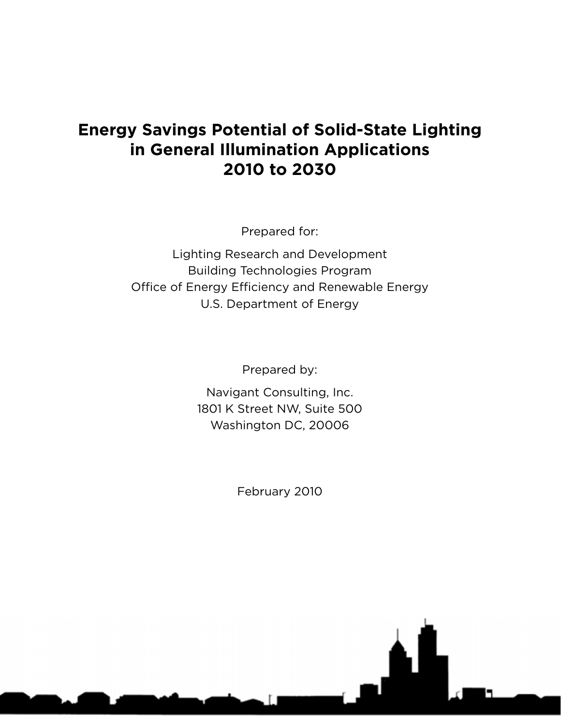# **Energy Savings Potential of Solid-State Lighting in General Illumination Applications 2010 to 2030**

Prepared for:

Lighting Research and Development Building Technologies Program Office of Energy Efficiency and Renewable Energy U.S. Department of Energy

Prepared by:

Navigant Consulting, Inc. 1801 K Street NW, Suite 500 Washington DC, 20006

February 2010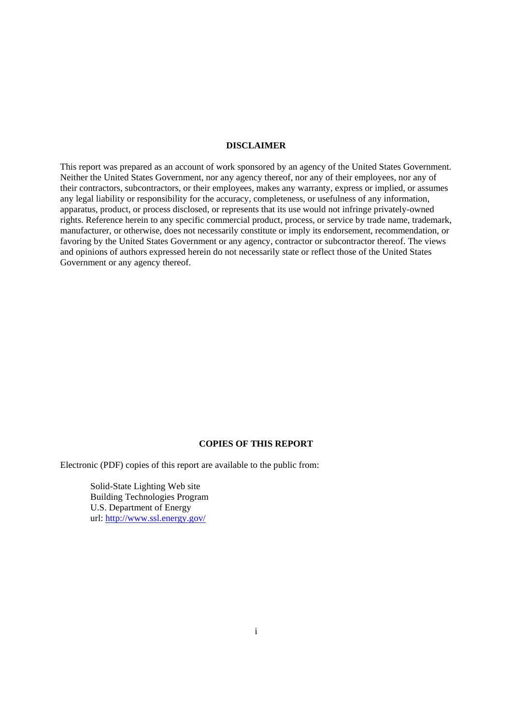#### **DISCLAIMER**

 Neither the United States Government, nor any agency thereof, nor any of their employees, nor any of This report was prepared as an account of work sponsored by an agency of the United States Government. their contractors, subcontractors, or their employees, makes any warranty, express or implied, or assumes any legal liability or responsibility for the accuracy, completeness, or usefulness of any information, apparatus, product, or process disclosed, or represents that its use would not infringe privately-owned rights. Reference herein to any specific commercial product, process, or service by trade name, trademark, manufacturer, or otherwise, does not necessarily constitute or imply its endorsement, recommendation, or favoring by the United States Government or any agency, contractor or subcontractor thereof. The views and opinions of authors expressed herein do not necessarily state or reflect those of the United States Government or any agency thereof.

#### **COPIES OF THIS REPORT**

Electronic (PDF) copies of this report are available to the public from:

 U.S. Department of Energy url: http://www.ssl.energy.gov/ Solid-State Lighting Web site Building Technologies Program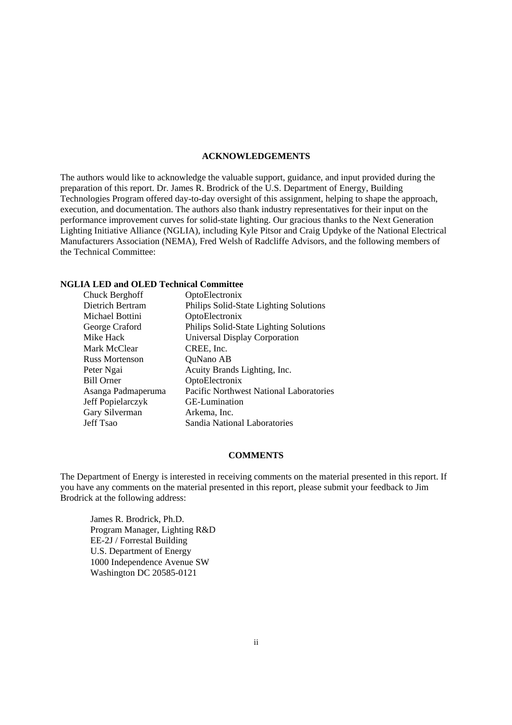#### **ACKNOWLEDGEMENTS**

The authors would like to acknowledge the valuable support, guidance, and input provided during the preparation of this report. Dr. James R. Brodrick of the U.S. Department of Energy, Building Technologies Program offered day-to-day oversight of this assignment, helping to shape the approach, execution, and documentation. The authors also thank industry representatives for their input on the performance improvement curves for solid-state lighting. Our gracious thanks to the Next Generation Lighting Initiative Alliance (NGLIA), including Kyle Pitsor and Craig Updyke of the National Electrical Manufacturers Association (NEMA), Fred Welsh of Radcliffe Advisors, and the following members of the Technical Committee:

#### **NGLIA LED and OLED Technical Committee**

| Chuck Berghoff        | OptoElectronix                                 |
|-----------------------|------------------------------------------------|
| Dietrich Bertram      | Philips Solid-State Lighting Solutions         |
| Michael Bottini       | OptoElectronix                                 |
| George Craford        | Philips Solid-State Lighting Solutions         |
| Mike Hack             | <b>Universal Display Corporation</b>           |
| Mark McClear          | CREE, Inc.                                     |
| <b>Russ Mortenson</b> | QuNano AB                                      |
| Peter Ngai            | Acuity Brands Lighting, Inc.                   |
| <b>Bill Orner</b>     | OptoElectronix                                 |
| Asanga Padmaperuma    | <b>Pacific Northwest National Laboratories</b> |
| Jeff Popielarczyk     | GE-Lumination                                  |
| Gary Silverman        | Arkema, Inc.                                   |
| Jeff Tsao             | Sandia National Laboratories                   |

#### **COMMENTS**

The Department of Energy is interested in receiving comments on the material presented in this report. If you have any comments on the material presented in this report, please submit your feedback to Jim Brodrick at the following address:

 U.S. Department of Energy James R. Brodrick, Ph.D. Program Manager, Lighting R&D EE-2J / Forrestal Building 1000 Independence Avenue SW Washington DC 20585-0121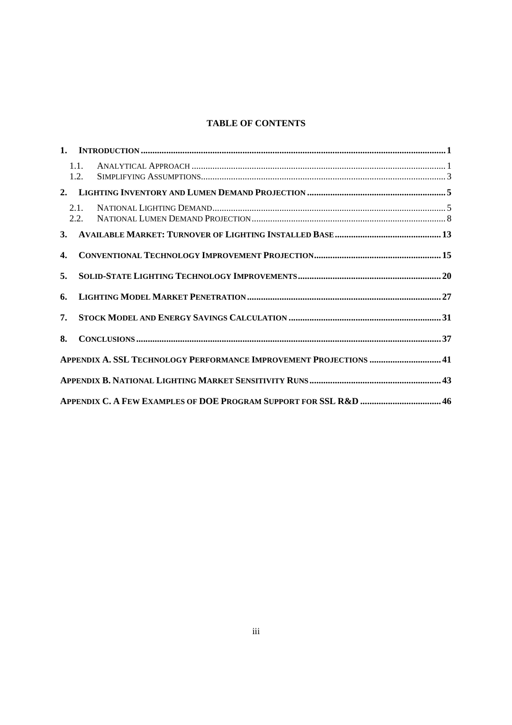# **TABLE OF CONTENTS**

|              | 1.1.<br>1.2. |                                                                    |  |
|--------------|--------------|--------------------------------------------------------------------|--|
|              |              |                                                                    |  |
|              | 2.1.<br>2.2. |                                                                    |  |
|              |              |                                                                    |  |
| $\mathbf{4}$ |              |                                                                    |  |
| 5.           |              |                                                                    |  |
| 6.           |              |                                                                    |  |
| 7.           |              |                                                                    |  |
| 8.           |              |                                                                    |  |
|              |              | APPENDIX A. SSL TECHNOLOGY PERFORMANCE IMPROVEMENT PROJECTIONS  41 |  |
|              |              |                                                                    |  |
|              |              | APPENDIX C. A FEW EXAMPLES OF DOE PROGRAM SUPPORT FOR SSL R&D  46  |  |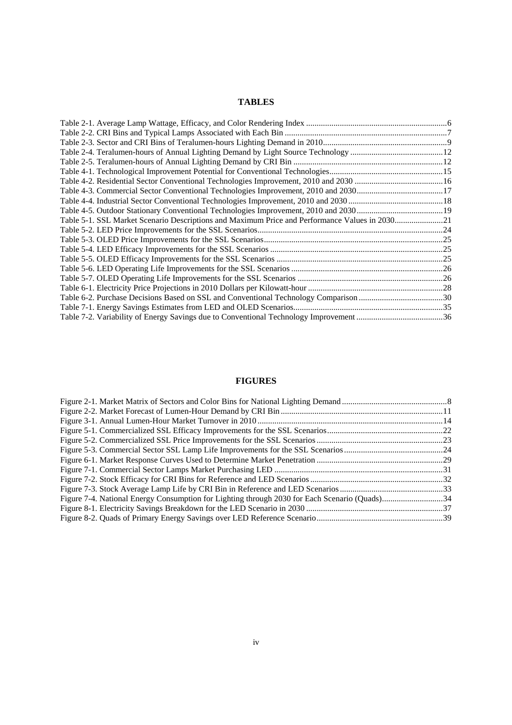# **TABLES**

| Table 5-1. SSL Market Scenario Descriptions and Maximum Price and Performance Values in 203021 |  |
|------------------------------------------------------------------------------------------------|--|
|                                                                                                |  |
|                                                                                                |  |
|                                                                                                |  |
|                                                                                                |  |
|                                                                                                |  |
|                                                                                                |  |
|                                                                                                |  |
| Table 6-2. Purchase Decisions Based on SSL and Conventional Technology Comparison 30           |  |
|                                                                                                |  |
|                                                                                                |  |

# **FIGURES**

| Figure 7-4. National Energy Consumption for Lighting through 2030 for Each Scenario (Quads)34 |  |
|-----------------------------------------------------------------------------------------------|--|
|                                                                                               |  |
|                                                                                               |  |
|                                                                                               |  |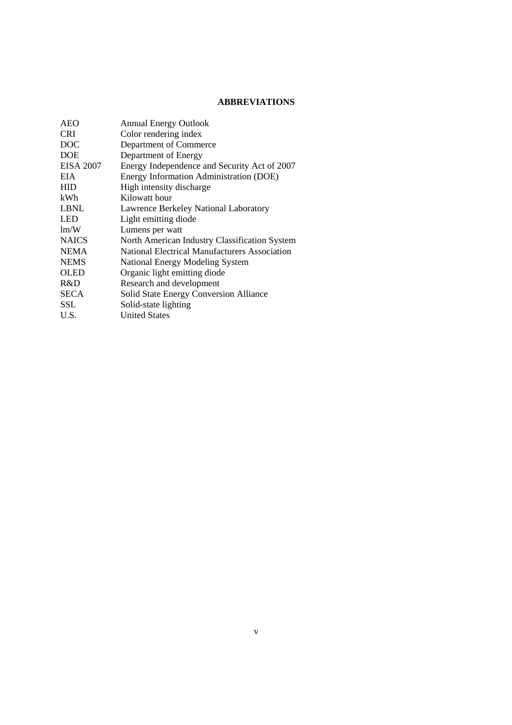# **ABBREVIATIONS**

| <b>AEO</b>       | <b>Annual Energy Outlook</b>                  |
|------------------|-----------------------------------------------|
| <b>CRI</b>       | Color rendering index                         |
| DOC              | Department of Commerce                        |
| <b>DOE</b>       | Department of Energy                          |
| <b>EISA 2007</b> | Energy Independence and Security Act of 2007  |
| EIA              | Energy Information Administration (DOE)       |
| HID              | High intensity discharge                      |
| kWh              | Kilowatt hour                                 |
| LBNL             | Lawrence Berkeley National Laboratory         |
| LED              | Light emitting diode                          |
| lm/W             | Lumens per watt                               |
| <b>NAICS</b>     | North American Industry Classification System |
| NEMA             | National Electrical Manufacturers Association |
| <b>NEMS</b>      | National Energy Modeling System               |
| OLED             | Organic light emitting diode                  |
| R&D              | Research and development                      |
| SECA             | Solid State Energy Conversion Alliance        |
| SSL              | Solid-state lighting                          |
| U.S.             | <b>United States</b>                          |
|                  |                                               |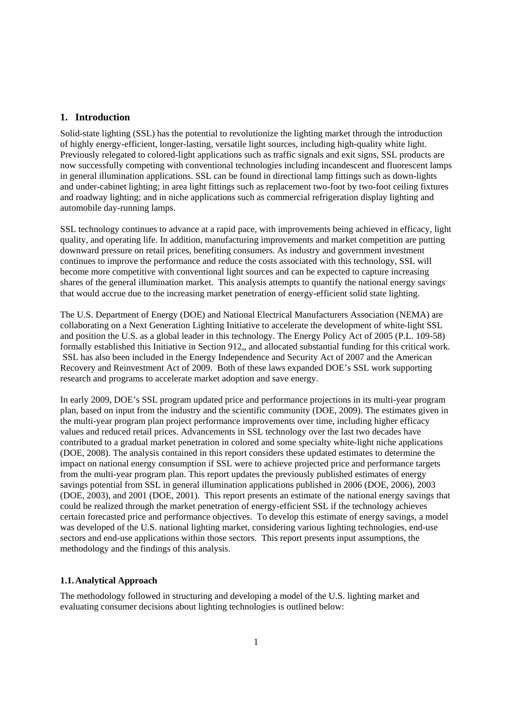#### <span id="page-7-0"></span>**1. Introduction**

Solid-state lighting (SSL) has the potential to revolutionize the lighting market through the introduction of highly energy-efficient, longer-lasting, versatile light sources, including high-quality white light. Previously relegated to colored-light applications such as traffic signals and exit signs, SSL products are now successfully competing with conventional technologies including incandescent and fluorescent lamps in general illumination applications. SSL can be found in directional lamp fittings such as down-lights and under-cabinet lighting; in area light fittings such as replacement two-foot by two-foot ceiling fixtures and roadway lighting; and in niche applications such as commercial refrigeration display lighting and automobile day-running lamps.

 become more competitive with conventional light sources and can be expected to capture increasing shares of the general illumination market. This analysis attempts to quantify the national energy savings SSL technology continues to advance at a rapid pace, with improvements being achieved in efficacy, light quality, and operating life. In addition, manufacturing improvements and market competition are putting downward pressure on retail prices, benefiting consumers. As industry and government investment continues to improve the performance and reduce the costs associated with this technology, SSL will that would accrue due to the increasing market penetration of energy-efficient solid state lighting.

The U.S. Department of Energy (DOE) and National Electrical Manufacturers Association (NEMA) are collaborating on a Next Generation Lighting Initiative to accelerate the development of white-light SSL and position the U.S. as a global leader in this technology. The Energy Policy Act of 2005 (P.L. 109-58) formally established this Initiative in Section 912,, and allocated substantial funding for this critical work. SSL has also been included in the Energy Independence and Security Act of 2007 and the American Recovery and Reinvestment Act of 2009. Both of these laws expanded DOE's SSL work supporting research and programs to accelerate market adoption and save energy.

 plan, based on input from the industry and the scientific community (DOE, 2009). The estimates given in could be realized through the market penetration of energy-efficient SSL if the technology achieves In early 2009, DOE's SSL program updated price and performance projections in its multi-year program the multi-year program plan project performance improvements over time, including higher efficacy values and reduced retail prices. Advancements in SSL technology over the last two decades have contributed to a gradual market penetration in colored and some specialty white-light niche applications (DOE, 2008). The analysis contained in this report considers these updated estimates to determine the impact on national energy consumption if SSL were to achieve projected price and performance targets from the multi-year program plan. This report updates the previously published estimates of energy savings potential from SSL in general illumination applications published in 2006 (DOE, 2006), 2003 (DOE, 2003), and 2001 (DOE, 2001). This report presents an estimate of the national energy savings that certain forecasted price and performance objectives. To develop this estimate of energy savings, a model was developed of the U.S. national lighting market, considering various lighting technologies, end-use sectors and end-use applications within those sectors. This report presents input assumptions, the methodology and the findings of this analysis.

#### **1.1. Analytical Approach**

The methodology followed in structuring and developing a model of the U.S. lighting market and evaluating consumer decisions about lighting technologies is outlined below: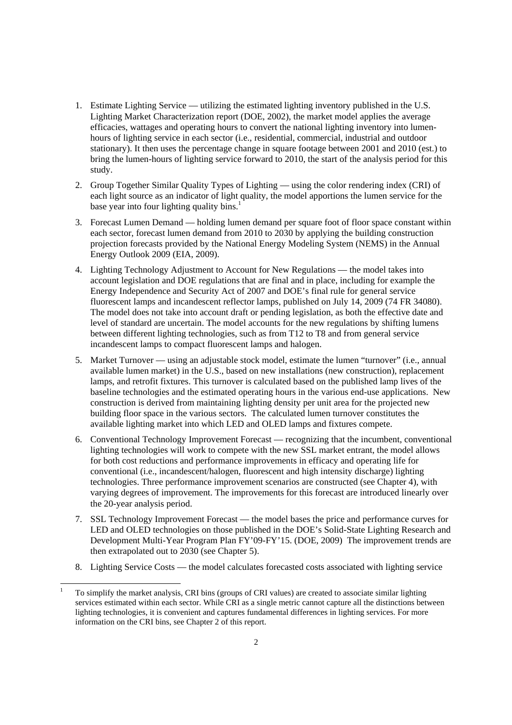- 1. Estimate Lighting Service utilizing the estimated lighting inventory published in the U.S. Lighting Market Characterization report (DOE, 2002), the market model applies the average efficacies, wattages and operating hours to convert the national lighting inventory into lumenhours of lighting service in each sector (i.e., residential, commercial, industrial and outdoor stationary). It then uses the percentage change in square footage between 2001 and 2010 (est.) to bring the lumen-hours of lighting service forward to 2010, the start of the analysis period for this study.
- base year into four lighting quality bins.<sup>1</sup> 2. Group Together Similar Quality Types of Lighting — using the color rendering index (CRI) of each light source as an indicator of light quality, the model apportions the lumen service for the
- 3. Forecast Lumen Demand holding lumen demand per square foot of floor space constant within each sector, forecast lumen demand from 2010 to 2030 by applying the building construction projection forecasts provided by the National Energy Modeling System (NEMS) in the Annual Energy Outlook 2009 (EIA, 2009).
- between different lighting technologies, such as from T12 to T8 and from general service 4. Lighting Technology Adjustment to Account for New Regulations — the model takes into account legislation and DOE regulations that are final and in place, including for example the Energy Independence and Security Act of 2007 and DOE's final rule for general service fluorescent lamps and incandescent reflector lamps, published on July 14, 2009 (74 FR 34080). The model does not take into account draft or pending legislation, as both the effective date and level of standard are uncertain. The model accounts for the new regulations by shifting lumens incandescent lamps to compact fluorescent lamps and halogen.
- 5. Market Turnover using an adjustable stock model, estimate the lumen "turnover" (i.e., annual available lumen market) in the U.S., based on new installations (new construction), replacement lamps, and retrofit fixtures. This turnover is calculated based on the published lamp lives of the baseline technologies and the estimated operating hours in the various end-use applications. New construction is derived from maintaining lighting density per unit area for the projected new building floor space in the various sectors. The calculated lumen turnover constitutes the available lighting market into which LED and OLED lamps and fixtures compete.
- 6. Conventional Technology Improvement Forecast recognizing that the incumbent, conventional lighting technologies will work to compete with the new SSL market entrant, the model allows for both cost reductions and performance improvements in efficacy and operating life for conventional (i.e., incandescent/halogen, fluorescent and high intensity discharge) lighting technologies. Three performance improvement scenarios are constructed (see Chapter 4), with varying degrees of improvement. The improvements for this forecast are introduced linearly over the 20-year analysis period.
- then extrapolated out to 2030 (see Chapter 5). 7. SSL Technology Improvement Forecast — the model bases the price and performance curves for LED and OLED technologies on those published in the DOE's Solid-State Lighting Research and Development Multi-Year Program Plan FY'09-FY'15. (DOE, 2009) The improvement trends are
- 8. Lighting Service Costs the model calculates forecasted costs associated with lighting service

<u>.</u>

To simplify the market analysis, CRI bins (groups of CRI values) are created to associate similar lighting services estimated within each sector. While CRI as a single metric cannot capture all the distinctions between lighting technologies, it is convenient and captures fundamental differences in lighting services. For more information on the CRI bins, see Chapter 2 of this report. 1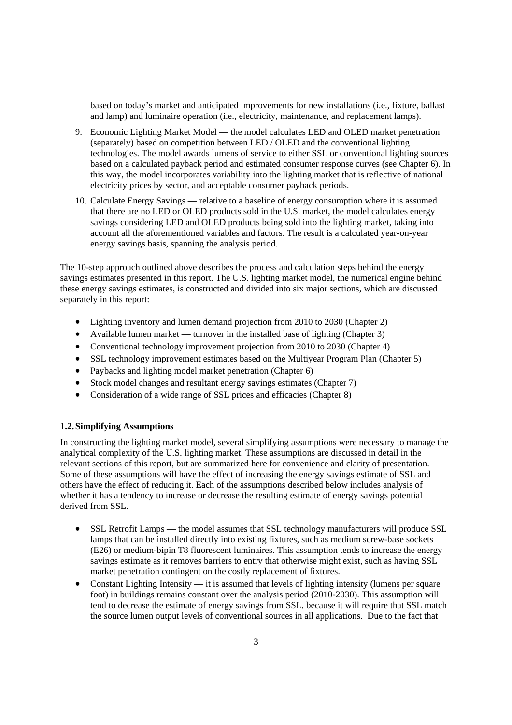<span id="page-9-0"></span> based on today's market and anticipated improvements for new installations (i.e., fixture, ballast and lamp) and luminaire operation (i.e., electricity, maintenance, and replacement lamps).

- based on a calculated payback period and estimated consumer response curves (see Chapter 6). In electricity prices by sector, and acceptable consumer payback periods. 9. Economic Lighting Market Model — the model calculates LED and OLED market penetration (separately) based on competition between LED / OLED and the conventional lighting technologies. The model awards lumens of service to either SSL or conventional lighting sources this way, the model incorporates variability into the lighting market that is reflective of national
- 10. Calculate Energy Savings relative to a baseline of energy consumption where it is assumed that there are no LED or OLED products sold in the U.S. market, the model calculates energy savings considering LED and OLED products being sold into the lighting market, taking into account all the aforementioned variables and factors. The result is a calculated year-on-year energy savings basis, spanning the analysis period.

The 10-step approach outlined above describes the process and calculation steps behind the energy savings estimates presented in this report. The U.S. lighting market model, the numerical engine behind these energy savings estimates, is constructed and divided into six major sections, which are discussed separately in this report:

- Lighting inventory and lumen demand projection from 2010 to 2030 (Chapter 2)
- Available lumen market turnover in the installed base of lighting (Chapter 3)
- Conventional technology improvement projection from 2010 to 2030 (Chapter 4)
- SSL technology improvement estimates based on the Multiyear Program Plan (Chapter 5)
- Paybacks and lighting model market penetration (Chapter 6)
- Stock model changes and resultant energy savings estimates (Chapter 7)
- Consideration of a wide range of SSL prices and efficacies (Chapter 8)

#### **1.2. Simplifying Assumptions**

 In constructing the lighting market model, several simplifying assumptions were necessary to manage the relevant sections of this report, but are summarized here for convenience and clarity of presentation. analytical complexity of the U.S. lighting market. These assumptions are discussed in detail in the Some of these assumptions will have the effect of increasing the energy savings estimate of SSL and others have the effect of reducing it. Each of the assumptions described below includes analysis of whether it has a tendency to increase or decrease the resulting estimate of energy savings potential derived from SSL.

- SSL Retrofit Lamps the model assumes that SSL technology manufacturers will produce SSL lamps that can be installed directly into existing fixtures, such as medium screw-base sockets (E26) or medium-bipin T8 fluorescent luminaires. This assumption tends to increase the energy savings estimate as it removes barriers to entry that otherwise might exist, such as having SSL market penetration contingent on the costly replacement of fixtures.
- Constant Lighting Intensity it is assumed that levels of lighting intensity (lumens per square foot) in buildings remains constant over the analysis period (2010-2030). This assumption will tend to decrease the estimate of energy savings from SSL, because it will require that SSL match the source lumen output levels of conventional sources in all applications. Due to the fact that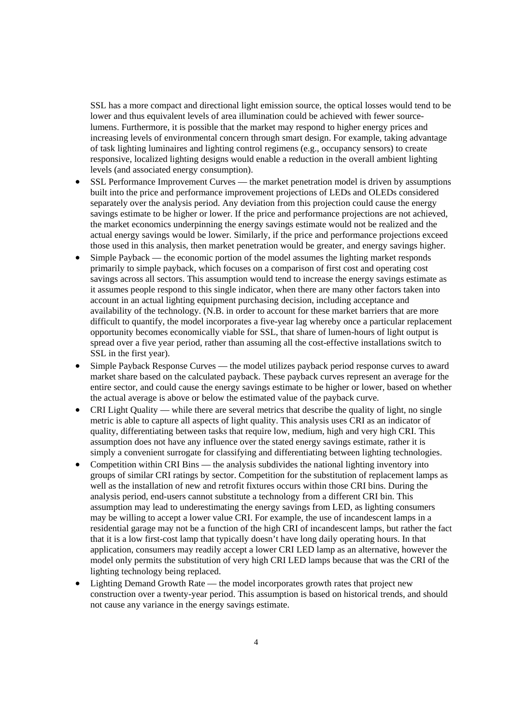lumens. Furthermore, it is possible that the market may respond to higher energy prices and responsive, localized lighting designs would enable a reduction in the overall ambient lighting SSL has a more compact and directional light emission source, the optical losses would tend to be lower and thus equivalent levels of area illumination could be achieved with fewer sourceincreasing levels of environmental concern through smart design. For example, taking advantage of task lighting luminaires and lighting control regimens (e.g., occupancy sensors) to create levels (and associated energy consumption).

- separately over the analysis period. Any deviation from this projection could cause the energy the market economics underpinning the energy savings estimate would not be realized and the SSL Performance Improvement Curves — the market penetration model is driven by assumptions built into the price and performance improvement projections of LEDs and OLEDs considered savings estimate to be higher or lower. If the price and performance projections are not achieved, actual energy savings would be lower. Similarly, if the price and performance projections exceed those used in this analysis, then market penetration would be greater, and energy savings higher.
- account in an actual lighting equipment purchasing decision, including acceptance and spread over a five year period, rather than assuming all the cost-effective installations switch to Simple Payback — the economic portion of the model assumes the lighting market responds primarily to simple payback, which focuses on a comparison of first cost and operating cost savings across all sectors. This assumption would tend to increase the energy savings estimate as it assumes people respond to this single indicator, when there are many other factors taken into availability of the technology. (N.B. in order to account for these market barriers that are more difficult to quantify, the model incorporates a five-year lag whereby once a particular replacement opportunity becomes economically viable for SSL, that share of lumen-hours of light output is SSL in the first year).
- market share based on the calculated payback. These payback curves represent an average for the Simple Payback Response Curves — the model utilizes payback period response curves to award entire sector, and could cause the energy savings estimate to be higher or lower, based on whether the actual average is above or below the estimated value of the payback curve.
- metric is able to capture all aspects of light quality. This analysis uses CRI as an indicator of • CRI Light Quality — while there are several metrics that describe the quality of light, no single quality, differentiating between tasks that require low, medium, high and very high CRI. This assumption does not have any influence over the stated energy savings estimate, rather it is simply a convenient surrogate for classifying and differentiating between lighting technologies.
- assumption may lead to underestimating the energy savings from LED, as lighting consumers that it is a low first-cost lamp that typically doesn't have long daily operating hours. In that Competition within CRI Bins — the analysis subdivides the national lighting inventory into groups of similar CRI ratings by sector. Competition for the substitution of replacement lamps as well as the installation of new and retrofit fixtures occurs within those CRI bins. During the analysis period, end-users cannot substitute a technology from a different CRI bin. This may be willing to accept a lower value CRI. For example, the use of incandescent lamps in a residential garage may not be a function of the high CRI of incandescent lamps, but rather the fact application, consumers may readily accept a lower CRI LED lamp as an alternative, however the model only permits the substitution of very high CRI LED lamps because that was the CRI of the lighting technology being replaced.
- construction over a twenty-year period. This assumption is based on historical trends, and should Lighting Demand Growth Rate — the model incorporates growth rates that project new not cause any variance in the energy savings estimate.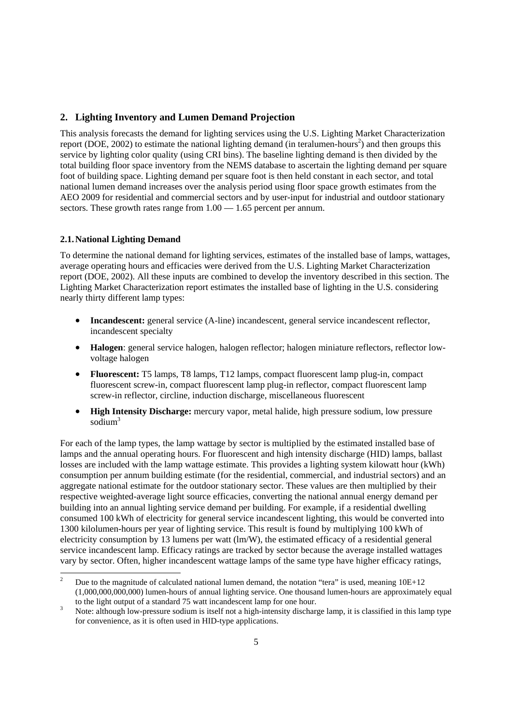## <span id="page-11-0"></span>**2. Lighting Inventory and Lumen Demand Projection**

 total building floor space inventory from the NEMS database to ascertain the lighting demand per square foot of building space. Lighting demand per square foot is then held constant in each sector, and total national lumen demand increases over the analysis period using floor space growth estimates from the AEO 2009 for residential and commercial sectors and by user-input for industrial and outdoor stationary sectors. These growth rates range from  $1.00 - 1.65$  percent per annum. This analysis forecasts the demand for lighting services using the U.S. Lighting Market Characterization report (DOE, 2002) to estimate the national lighting demand (in teralumen-hours<sup>2</sup>) and then groups this service by lighting color quality (using CRI bins). The baseline lighting demand is then divided by the

#### **2.1. National Lighting Demand**

<u>.</u>

To determine the national demand for lighting services, estimates of the installed base of lamps, wattages, average operating hours and efficacies were derived from the U.S. Lighting Market Characterization report (DOE, 2002). All these inputs are combined to develop the inventory described in this section. The Lighting Market Characterization report estimates the installed base of lighting in the U.S. considering nearly thirty different lamp types:

- **Incandescent:** general service (A-line) incandescent, general service incandescent reflector, incandescent specialty
- **Halogen**: general service halogen, halogen reflector; halogen miniature reflectors, reflector lowvoltage halogen
- • **Fluorescent:** T5 lamps, T8 lamps, T12 lamps, compact fluorescent lamp plug-in, compact fluorescent screw-in, compact fluorescent lamp plug-in reflector, compact fluorescent lamp screw-in reflector, circline, induction discharge, miscellaneous fluorescent
- • **High Intensity Discharge:** mercury vapor, metal halide, high pressure sodium, low pressure sodium3

 For each of the lamp types, the lamp wattage by sector is multiplied by the estimated installed base of consumed 100 kWh of electricity for general service incandescent lighting, this would be converted into service incandescent lamp. Efficacy ratings are tracked by sector because the average installed wattages lamps and the annual operating hours. For fluorescent and high intensity discharge (HID) lamps, ballast losses are included with the lamp wattage estimate. This provides a lighting system kilowatt hour (kWh) consumption per annum building estimate (for the residential, commercial, and industrial sectors) and an aggregate national estimate for the outdoor stationary sector. These values are then multiplied by their respective weighted-average light source efficacies, converting the national annual energy demand per building into an annual lighting service demand per building. For example, if a residential dwelling 1300 kilolumen-hours per year of lighting service. This result is found by multiplying 100 kWh of electricity consumption by 13 lumens per watt (lm/W), the estimated efficacy of a residential general vary by sector. Often, higher incandescent wattage lamps of the same type have higher efficacy ratings,

Due to the magnitude of calculated national lumen demand, the notation "tera" is used, meaning  $10E+12$ (1,000,000,000,000) lumen-hours of annual lighting service. One thousand lumen-hours are approximately equal

 $\overline{3}$ to the light output of a standard 75 watt incandescent lamp for one hour.<br>Note: although low-pressure sodium is itself not a high-intensity discharge lamp, it is classified in this lamp type for convenience, as it is often used in HID-type applications.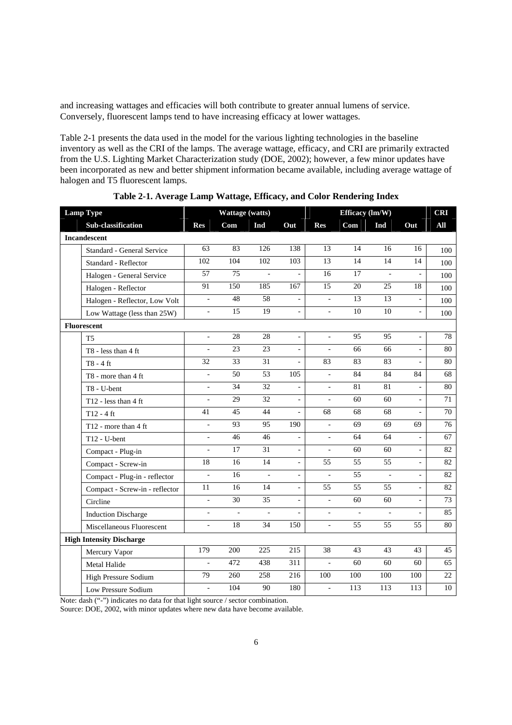and increasing wattages and efficacies will both contribute to greater annual lumens of service. Conversely, fluorescent lamps tend to have increasing efficacy at lower wattages.

Table 2-1 presents the data used in the model for the various lighting technologies in the baseline inventory as well as the CRI of the lamps. The average wattage, efficacy, and CRI are primarily extracted from the U.S. Lighting Market Characterization study (DOE, 2002); however, a few minor updates have been incorporated as new and better shipment information became available, including average wattage of halogen and T5 fluorescent lamps.

| <b>Lamp Type</b> |                                    |                          | Wattage (watts) |                 |                |                          | Efficacy (lm/W) |                 |                          | <b>CRI</b>      |
|------------------|------------------------------------|--------------------------|-----------------|-----------------|----------------|--------------------------|-----------------|-----------------|--------------------------|-----------------|
|                  | Sub-classification                 | <b>Res</b>               | Com             | Ind             | Out            | <b>Res</b>               | Com             | Ind             | Out                      | All             |
|                  | <b>Incandescent</b>                |                          |                 |                 |                |                          |                 |                 |                          |                 |
|                  | Standard - General Service         | 63                       | 83              | 126             | 138            | 13                       | 14              | 16              | 16                       | 100             |
|                  | Standard - Reflector               | 102                      | 104             | 102             | 103            | 13                       | 14              | 14              | 14                       | 100             |
|                  | Halogen - General Service          | 57                       | 75              | $\overline{a}$  | $\overline{a}$ | 16                       | 17              | $\bar{a}$       |                          | 100             |
|                  | Halogen - Reflector                | 91                       | 150             | 185             | 167            | 15                       | 20              | 25              | 18                       | 100             |
|                  | Halogen - Reflector, Low Volt      | ÷,                       | 48              | 58              | ÷,             | $\bar{\phantom{a}}$      | 13              | 13              |                          | 100             |
|                  | Low Wattage (less than 25W)        | $\blacksquare$           | $\overline{15}$ | $\overline{19}$ | $\frac{1}{2}$  | $\blacksquare$           | $\overline{10}$ | $\overline{10}$ | $\overline{\phantom{a}}$ | 100             |
|                  | <b>Fluorescent</b>                 |                          |                 |                 |                |                          |                 |                 |                          |                 |
|                  | T <sub>5</sub>                     |                          | 28              | 28              | ÷,             | $\overline{a}$           | 95              | 95              |                          | 78              |
|                  | $T8 - less than 4 ft$              | $\mathbf{r}$             | 23              | 23              | $\overline{a}$ | $\overline{\phantom{a}}$ | 66              | 66              | $\overline{\phantom{a}}$ | 80              |
|                  | T8 - 4 ft                          | 32                       | 33              | 31              | ÷,             | 83                       | 83              | 83              |                          | 80              |
|                  | T8 - more than 4 ft                | L.                       | 50              | 53              | 105            | ÷,                       | 84              | 84              | 84                       | 68              |
|                  | T8 - U-bent                        | $\overline{a}$           | 34              | 32              | $\frac{1}{2}$  | $\bar{\phantom{a}}$      | 81              | 81              |                          | 80              |
|                  | T <sub>12</sub> - less than $4$ ft |                          | 29              | 32              | $\frac{1}{2}$  | $\overline{\phantom{a}}$ | 60              | 60              |                          | 71              |
|                  | $T12 - 4$ ft                       | 41                       | 45              | 44              | $\overline{a}$ | 68                       | 68              | 68              | $\overline{a}$           | $\overline{70}$ |
|                  | T12 - more than 4 ft               | $\overline{a}$           | 93              | 95              | 190            | $\bar{\phantom{a}}$      | 69              | 69              | 69                       | 76              |
|                  | $T12 - U$ -bent                    | $\bar{a}$                | $\overline{46}$ | 46              | $\overline{a}$ | $\bar{a}$                | 64              | 64              | $\overline{a}$           | 67              |
|                  | Compact - Plug-in                  | L.                       | 17              | 31              | $\frac{1}{2}$  | $\blacksquare$           | 60              | 60              | $\blacksquare$           | 82              |
|                  | Compact - Screw-in                 | 18                       | 16              | 14              | $\overline{a}$ | 55                       | 55              | 55              | $\overline{a}$           | 82              |
|                  | Compact - Plug-in - reflector      | $\overline{a}$           | 16              | $\overline{a}$  | $\overline{a}$ | $\overline{a}$           | 55              | $\overline{a}$  | $\frac{1}{2}$            | 82              |
|                  | Compact - Screw-in - reflector     | 11                       | 16              | 14              | ÷,             | 55                       | 55              | 55              | $\bar{\phantom{a}}$      | 82              |
|                  | Circline                           | $\overline{a}$           | 30              | 35              | $\frac{1}{2}$  | $\overline{\phantom{a}}$ | 60              | 60              | ÷,                       | 73              |
|                  | <b>Induction Discharge</b>         |                          | $\overline{a}$  | $\overline{a}$  |                | L.                       |                 |                 |                          | 85              |
|                  | Miscellaneous Fluorescent          | $\blacksquare$           | 18              | 34              | 150            | $\blacksquare$           | 55              | 55              | 55                       | 80              |
|                  | <b>High Intensity Discharge</b>    |                          |                 |                 |                |                          |                 |                 |                          |                 |
|                  | Mercury Vapor                      | 179                      | 200             | 225             | 215            | 38                       | 43              | 43              | 43                       | 45              |
|                  | Metal Halide                       | $\overline{a}$           | 472             | 438             | 311            | $\overline{\phantom{a}}$ | 60              | 60              | 60                       | 65              |
|                  | High Pressure Sodium               | 79                       | 260             | 258             | 216            | 100                      | 100             | 100             | 100                      | 22              |
|                  | Low Pressure Sodium                | $\overline{\phantom{a}}$ | 104             | 90              | 180            | $\overline{a}$           | 113             | 113             | 113                      | 10              |

**Table 2-1. Average Lamp Wattage, Efficacy, and Color Rendering Index** 

Note: dash ("-") indicates no data for that light source / sector combination.

Source: DOE, 2002, with minor updates where new data have become available.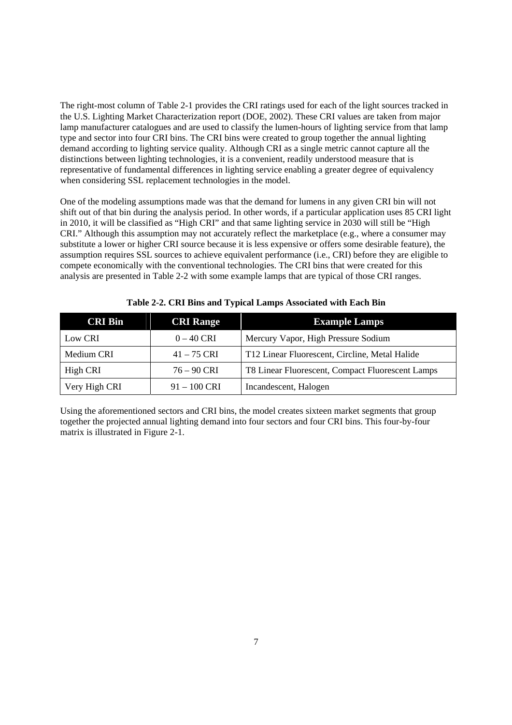The right-most column of Table 2-1 provides the CRI ratings used for each of the light sources tracked in the U.S. Lighting Market Characterization report (DOE, 2002). These CRI values are taken from major lamp manufacturer catalogues and are used to classify the lumen-hours of lighting service from that lamp type and sector into four CRI bins. The CRI bins were created to group together the annual lighting demand according to lighting service quality. Although CRI as a single metric cannot capture all the distinctions between lighting technologies, it is a convenient, readily understood measure that is representative of fundamental differences in lighting service enabling a greater degree of equivalency when considering SSL replacement technologies in the model.

 One of the modeling assumptions made was that the demand for lumens in any given CRI bin will not shift out of that bin during the analysis period. In other words, if a particular application uses 85 CRI light in 2010, it will be classified as "High CRI" and that same lighting service in 2030 will still be "High CRI." Although this assumption may not accurately reflect the marketplace (e.g., where a consumer may substitute a lower or higher CRI source because it is less expensive or offers some desirable feature), the assumption requires SSL sources to achieve equivalent performance (i.e., CRI) before they are eligible to compete economically with the conventional technologies. The CRI bins that were created for this analysis are presented in Table 2-2 with some example lamps that are typical of those CRI ranges.

| <b>CRI Bin</b> | <b>CRI Range</b> | <b>Example Lamps</b>                             |  |  |  |  |
|----------------|------------------|--------------------------------------------------|--|--|--|--|
| Low CRI        | $0 - 40$ CRI     | Mercury Vapor, High Pressure Sodium              |  |  |  |  |
| Medium CRI     | $41 - 75$ CRI    | T12 Linear Fluorescent, Circline, Metal Halide   |  |  |  |  |
| High CRI       | $76 - 90$ CRI    | T8 Linear Fluorescent, Compact Fluorescent Lamps |  |  |  |  |
| Very High CRI  | $91 - 100$ CRI   | Incandescent, Halogen                            |  |  |  |  |

 **Table 2-2. CRI Bins and Typical Lamps Associated with Each Bin** 

Using the aforementioned sectors and CRI bins, the model creates sixteen market segments that group together the projected annual lighting demand into four sectors and four CRI bins. This four-by-four matrix is illustrated in Figure 2-1.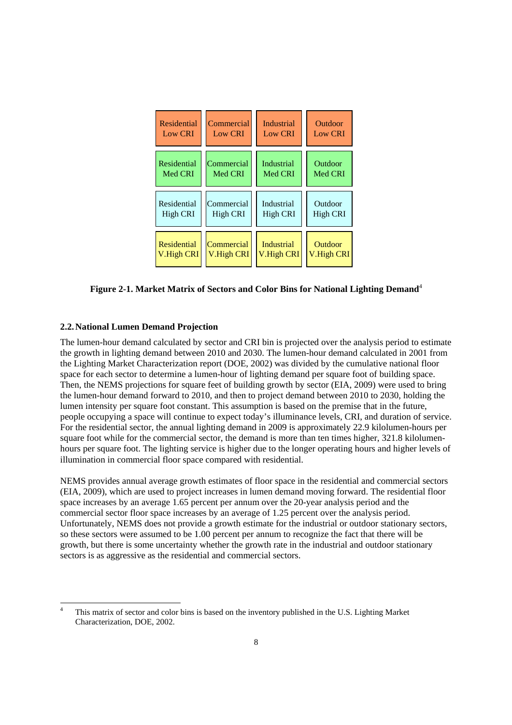<span id="page-14-0"></span>

| Residential        | Commercial     | <b>Industrial</b> | Outdoor        |
|--------------------|----------------|-------------------|----------------|
| <b>Low CRI</b>     | <b>Low CRI</b> | <b>Low CRI</b>    | <b>Low CRI</b> |
| Residential        | Commercial     | <b>Industrial</b> | Outdoor        |
| Med CRI            | Med CRI        | Med CRI           | Med CRI        |
| Residential        | Commercial     | Industrial        | Outdoor        |
| High CRI           | High CRI       | High CRI          | High CRI       |
| <b>Residential</b> | Commercial     | <b>Industrial</b> | Outdoor        |
| V.High CRI         | V.High CRI     | V.High CRI        | V.High CRI     |

**Figure 2-1. Market Matrix of Sectors and Color Bins for National Lighting Demand**<sup>4</sup>

#### **2.2. National Lumen Demand Projection**

-

 Then, the NEMS projections for square feet of building growth by sector (EIA, 2009) were used to bring the lumen-hour demand forward to 2010, and then to project demand between 2010 to 2030, holding the The lumen-hour demand calculated by sector and CRI bin is projected over the analysis period to estimate the growth in lighting demand between 2010 and 2030. The lumen-hour demand calculated in 2001 from the Lighting Market Characterization report (DOE, 2002) was divided by the cumulative national floor space for each sector to determine a lumen-hour of lighting demand per square foot of building space. lumen intensity per square foot constant. This assumption is based on the premise that in the future, people occupying a space will continue to expect today's illuminance levels, CRI, and duration of service. For the residential sector, the annual lighting demand in 2009 is approximately 22.9 kilolumen-hours per square foot while for the commercial sector, the demand is more than ten times higher, 321.8 kilolumenhours per square foot. The lighting service is higher due to the longer operating hours and higher levels of illumination in commercial floor space compared with residential.

 (EIA, 2009), which are used to project increases in lumen demand moving forward. The residential floor NEMS provides annual average growth estimates of floor space in the residential and commercial sectors space increases by an average 1.65 percent per annum over the 20-year analysis period and the commercial sector floor space increases by an average of 1.25 percent over the analysis period. Unfortunately, NEMS does not provide a growth estimate for the industrial or outdoor stationary sectors, so these sectors were assumed to be 1.00 percent per annum to recognize the fact that there will be growth, but there is some uncertainty whether the growth rate in the industrial and outdoor stationary sectors is as aggressive as the residential and commercial sectors.

 4 This matrix of sector and color bins is based on the inventory published in the U.S. Lighting Market Characterization, DOE, 2002.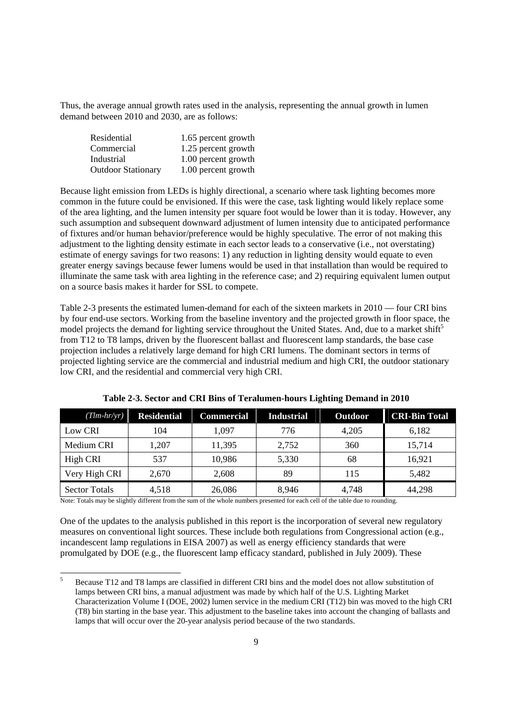Thus, the average annual growth rates used in the analysis, representing the annual growth in lumen demand between 2010 and 2030, are as follows:

| Residential               | 1.65 percent growth |
|---------------------------|---------------------|
| Commercial                | 1.25 percent growth |
| Industrial                | 1.00 percent growth |
| <b>Outdoor Stationary</b> | 1.00 percent growth |

 Because light emission from LEDs is highly directional, a scenario where task lighting becomes more of the area lighting, and the lumen intensity per square foot would be lower than it is today. However, any of fixtures and/or human behavior/preference would be highly speculative. The error of not making this estimate of energy savings for two reasons: 1) any reduction in lighting density would equate to even illuminate the same task with area lighting in the reference case; and 2) requiring equivalent lumen output common in the future could be envisioned. If this were the case, task lighting would likely replace some such assumption and subsequent downward adjustment of lumen intensity due to anticipated performance adjustment to the lighting density estimate in each sector leads to a conservative (i.e., not overstating) greater energy savings because fewer lumens would be used in that installation than would be required to on a source basis makes it harder for SSL to compete.

 projection includes a relatively large demand for high CRI lumens. The dominant sectors in terms of Table 2-3 presents the estimated lumen-demand for each of the sixteen markets in 2010 — four CRI bins by four end-use sectors. Working from the baseline inventory and the projected growth in floor space, the model projects the demand for lighting service throughout the United States. And, due to a market shift<sup>5</sup> from T12 to T8 lamps, driven by the fluorescent ballast and fluorescent lamp standards, the base case projected lighting service are the commercial and industrial medium and high CRI, the outdoor stationary low CRI, and the residential and commercial very high CRI.

| $(Tim-hr/yr)$        | <b>Residential</b> | <b>Commercial</b> | <b>Industrial</b> | Outdoor | <b>CRI-Bin Total</b> |
|----------------------|--------------------|-------------------|-------------------|---------|----------------------|
| Low CRI              | 104                | 1.097             | 776               | 4,205   | 6,182                |
| Medium CRI           | 1.207              | 11.395            | 2,752             | 360     | 15,714               |
| High CRI             | 537                | 10.986            | 5.330             | 68      | 16,921               |
| Very High CRI        | 2,670              | 2,608             | 89                | 115     | 5,482                |
| <b>Sector Totals</b> | 4,518              | 26,086            | 8,946             | 4,748   | 44,298               |

 **Table 2-3. Sector and CRI Bins of Teralumen-hours Lighting Demand in 2010** 

Note: Totals may be slightly different from the sum of the whole numbers presented for each cell of the table due to rounding.

-

One of the updates to the analysis published in this report is the incorporation of several new regulatory measures on conventional light sources. These include both regulations from Congressional action (e.g., incandescent lamp regulations in EISA 2007) as well as energy efficiency standards that were promulgated by DOE (e.g., the fluorescent lamp efficacy standard, published in July 2009). These

Because T12 and T8 lamps are classified in different CRI bins and the model does not allow substitution of lamps between CRI bins, a manual adjustment was made by which half of the U.S. Lighting Market Characterization Volume I (DOE, 2002) lumen service in the medium CRI (T12) bin was moved to the high CRI (T8) bin starting in the base year. This adjustment to the baseline takes into account the changing of ballasts and lamps that will occur over the 20-year analysis period because of the two standards. 5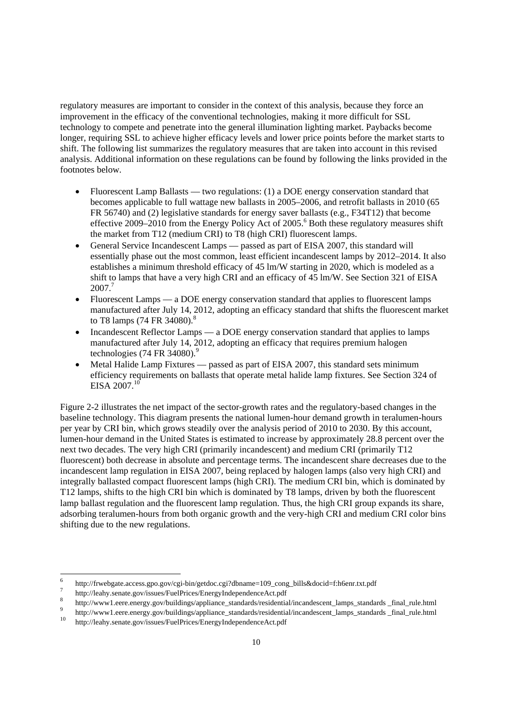analysis. Additional information on these regulations can be found by following the links provided in the regulatory measures are important to consider in the context of this analysis, because they force an improvement in the efficacy of the conventional technologies, making it more difficult for SSL technology to compete and penetrate into the general illumination lighting market. Paybacks become longer, requiring SSL to achieve higher efficacy levels and lower price points before the market starts to shift. The following list summarizes the regulatory measures that are taken into account in this revised footnotes below.

- Fluorescent Lamp Ballasts two regulations:  $(1)$  a DOE energy conservation standard that becomes applicable to full wattage new ballasts in 2005–2006, and retrofit ballasts in 2010 (65 FR 56740) and (2) legislative standards for energy saver ballasts (e.g., F34T12) that become effective 2009–2010 from the Energy Policy Act of 2005.<sup>6</sup> Both these regulatory measures shift the market from T12 (medium CRI) to T8 (high CRI) fluorescent lamps.
- shift to lamps that have a very high CRI and an efficacy of 45 lm/W. See Section 321 of EISA General Service Incandescent Lamps — passed as part of EISA 2007, this standard will essentially phase out the most common, least efficient incandescent lamps by 2012–2014. It also establishes a minimum threshold efficacy of 45 lm/W starting in 2020, which is modeled as a 2007.<sup>7</sup>
- to T8 lamps (74 FR 34080).<sup>8</sup> Fluorescent Lamps — a DOE energy conservation standard that applies to fluorescent lamps manufactured after July 14, 2012, adopting an efficacy standard that shifts the fluorescent market
- Incandescent Reflector Lamps a DOE energy conservation standard that applies to lamps manufactured after July 14, 2012, adopting an efficacy that requires premium halogen technologies (74 FR  $34080$ ).<sup>9</sup>
- Metal Halide Lamp Fixtures passed as part of EISA 2007, this standard sets minimum efficiency requirements on ballasts that operate metal halide lamp fixtures. See Section 324 of EISA 2007.<sup>10</sup>

 lumen-hour demand in the United States is estimated to increase by approximately 28.8 percent over the integrally ballasted compact fluorescent lamps (high CRI). The medium CRI bin, which is dominated by adsorbing teralumen-hours from both organic growth and the very-high CRI and medium CRI color bins Figure 2-2 illustrates the net impact of the sector-growth rates and the regulatory-based changes in the baseline technology. This diagram presents the national lumen-hour demand growth in teralumen-hours per year by CRI bin, which grows steadily over the analysis period of 2010 to 2030. By this account, next two decades. The very high CRI (primarily incandescent) and medium CRI (primarily T12 fluorescent) both decrease in absolute and percentage terms. The incandescent share decreases due to the incandescent lamp regulation in EISA 2007, being replaced by halogen lamps (also very high CRI) and T12 lamps, shifts to the high CRI bin which is dominated by T8 lamps, driven by both the fluorescent lamp ballast regulation and the fluorescent lamp regulation. Thus, the high CRI group expands its share, shifting due to the new regulations.

<u>.</u>

 $\overline{8}$ 

 $10$ http://frwebgate.access.gpo.gov/cgi-bin/getdoc.cgi?dbname=109\_cong\_bills&docid=f:h6enr.txt.pdf<br>http://leahy.senate.gov/issues/FuelPrices/EnergyIndependenceAct.pdf<br>http://www1.eere.energy.gov/buildings/appliance\_standards/r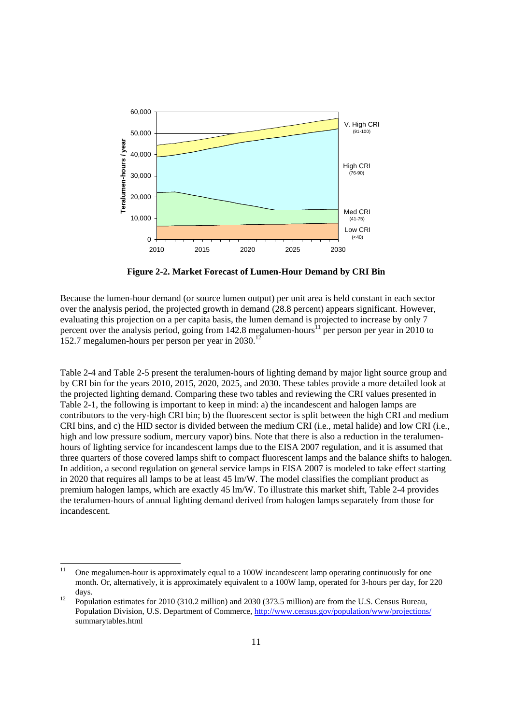<span id="page-17-0"></span>

**Figure 2-2. Market Forecast of Lumen-Hour Demand by CRI Bin** 

 Because the lumen-hour demand (or source lumen output) per unit area is held constant in each sector evaluating this projection on a per capita basis, the lumen demand is projected to increase by only 7 152.7 megalumen-hours per person per year in 2030.<sup>12</sup> over the analysis period, the projected growth in demand (28.8 percent) appears significant. However, percent over the analysis period, going from  $142.8$  megalumen-hours<sup>11</sup> per person per year in 2010 to

 in 2020 that requires all lamps to be at least 45 lm/W. The model classifies the compliant product as Table 2-4 and Table 2-5 present the teralumen-hours of lighting demand by major light source group and by CRI bin for the years 2010, 2015, 2020, 2025, and 2030. These tables provide a more detailed look at the projected lighting demand. Comparing these two tables and reviewing the CRI values presented in Table 2-1, the following is important to keep in mind: a) the incandescent and halogen lamps are contributors to the very-high CRI bin; b) the fluorescent sector is split between the high CRI and medium CRI bins, and c) the HID sector is divided between the medium CRI (i.e., metal halide) and low CRI (i.e., high and low pressure sodium, mercury vapor) bins. Note that there is also a reduction in the teralumenhours of lighting service for incandescent lamps due to the EISA 2007 regulation, and it is assumed that three quarters of those covered lamps shift to compact fluorescent lamps and the balance shifts to halogen. In addition, a second regulation on general service lamps in EISA 2007 is modeled to take effect starting premium halogen lamps, which are exactly 45 lm/W. To illustrate this market shift, Table 2-4 provides the teralumen-hours of annual lighting demand derived from halogen lamps separately from those for incandescent.

<u>.</u>

<sup>11</sup> One megalumen-hour is approximately equal to a 100W incandescent lamp operating continuously for one month. Or, alternatively, it is approximately equivalent to a 100W lamp, operated for 3-hours per day, for 220 days.<br>12 Population estimates for 2010 (310.2 million) and 2030 (373.5 million) are from the U.S. Census Bureau,

 $12$ Population Division, U.S. Department of Commerce, http://www.census.gov/population/www/projections/ summarytables.html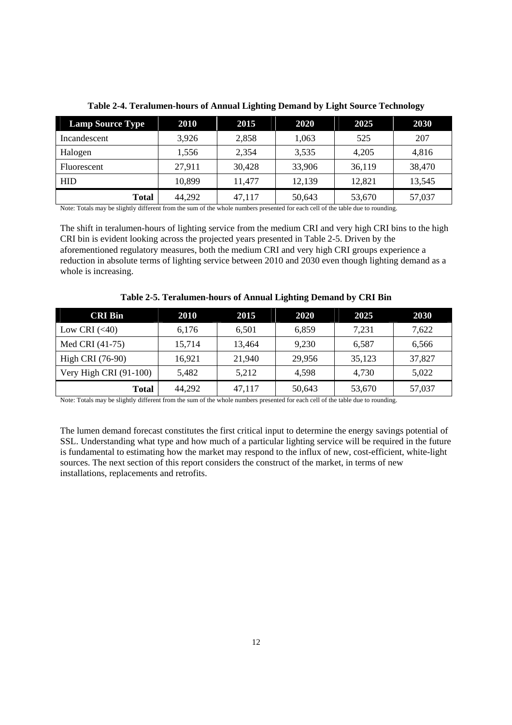| <b>Lamp Source Type</b> | 2010   | 2015   | 2020   | 2025   | 2030   |
|-------------------------|--------|--------|--------|--------|--------|
| Incandescent            | 3.926  | 2,858  | 1,063  | 525    | 207    |
| Halogen                 | 1,556  | 2,354  | 3,535  | 4,205  | 4,816  |
| Fluorescent             | 27,911 | 30,428 | 33,906 | 36,119 | 38,470 |
| <b>HID</b>              | 10.899 | 11,477 | 12,139 | 12,821 | 13,545 |
| <b>Total</b>            | 44,292 | 47,117 | 50,643 | 53,670 | 57,037 |

**Table 2-4. Teralumen-hours of Annual Lighting Demand by Light Source Technology** 

Note: Totals may be slightly different from the sum of the whole numbers presented for each cell of the table due to rounding.

The shift in teralumen-hours of lighting service from the medium CRI and very high CRI bins to the high CRI bin is evident looking across the projected years presented in Table 2-5. Driven by the aforementioned regulatory measures, both the medium CRI and very high CRI groups experience a reduction in absolute terms of lighting service between 2010 and 2030 even though lighting demand as a whole is increasing.

| <b>CRI Bin</b>           | 2010   | 2015   | 2020   | 2025   | <b>2030</b> |
|--------------------------|--------|--------|--------|--------|-------------|
| Low CRI $(<40)$          | 6.176  | 6,501  | 6.859  | 7.231  | 7.622       |
| Med CRI (41-75)          | 15.714 | 13.464 | 9.230  | 6.587  | 6,566       |
| High CRI (76-90)         | 16.921 | 21,940 | 29.956 | 35,123 | 37,827      |
| Very High CRI $(91-100)$ | 5.482  | 5,212  | 4.598  | 4,730  | 5,022       |
| <b>Total</b>             | 44,292 | 47,117 | 50,643 | 53,670 | 57,037      |

**Table 2-5. Teralumen-hours of Annual Lighting Demand by CRI Bin** 

Note: Totals may be slightly different from the sum of the whole numbers presented for each cell of the table due to rounding.

The lumen demand forecast constitutes the first critical input to determine the energy savings potential of SSL. Understanding what type and how much of a particular lighting service will be required in the future is fundamental to estimating how the market may respond to the influx of new, cost-efficient, white-light sources. The next section of this report considers the construct of the market, in terms of new installations, replacements and retrofits.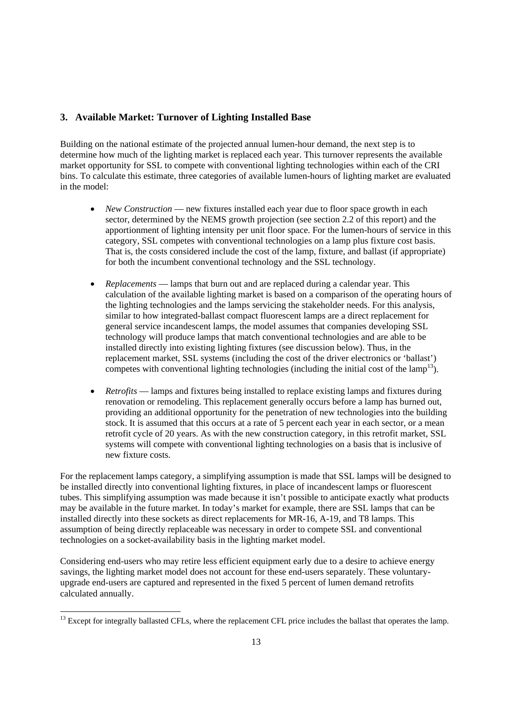## <span id="page-19-0"></span>**3. Available Market: Turnover of Lighting Installed Base**

 bins. To calculate this estimate, three categories of available lumen-hours of lighting market are evaluated Building on the national estimate of the projected annual lumen-hour demand, the next step is to determine how much of the lighting market is replaced each year. This turnover represents the available market opportunity for SSL to compete with conventional lighting technologies within each of the CRI in the model:

- *New Construction* new fixtures installed each year due to floor space growth in each sector, determined by the NEMS growth projection (see section 2.2 of this report) and the apportionment of lighting intensity per unit floor space. For the lumen-hours of service in this category, SSL competes with conventional technologies on a lamp plus fixture cost basis. That is, the costs considered include the cost of the lamp, fixture, and ballast (if appropriate) for both the incumbent conventional technology and the SSL technology.
- technology will produce lamps that match conventional technologies and are able to be • *Replacements* — lamps that burn out and are replaced during a calendar year. This calculation of the available lighting market is based on a comparison of the operating hours of the lighting technologies and the lamps servicing the stakeholder needs. For this analysis, similar to how integrated-ballast compact fluorescent lamps are a direct replacement for general service incandescent lamps, the model assumes that companies developing SSL installed directly into existing lighting fixtures (see discussion below). Thus, in the replacement market, SSL systems (including the cost of the driver electronics or 'ballast') competes with conventional lighting technologies (including the initial cost of the lamp<sup>13</sup>).
- providing an additional opportunity for the penetration of new technologies into the building • *Retrofits* — lamps and fixtures being installed to replace existing lamps and fixtures during renovation or remodeling. This replacement generally occurs before a lamp has burned out, stock. It is assumed that this occurs at a rate of 5 percent each year in each sector, or a mean retrofit cycle of 20 years. As with the new construction category, in this retrofit market, SSL systems will compete with conventional lighting technologies on a basis that is inclusive of new fixture costs.

For the replacement lamps category, a simplifying assumption is made that SSL lamps will be designed to be installed directly into conventional lighting fixtures, in place of incandescent lamps or fluorescent tubes. This simplifying assumption was made because it isn't possible to anticipate exactly what products may be available in the future market. In today's market for example, there are SSL lamps that can be installed directly into these sockets as direct replacements for MR-16, A-19, and T8 lamps. This assumption of being directly replaceable was necessary in order to compete SSL and conventional technologies on a socket-availability basis in the lighting market model.

 Considering end-users who may retire less efficient equipment early due to a desire to achieve energy upgrade end-users are captured and represented in the fixed 5 percent of lumen demand retrofits savings, the lighting market model does not account for these end-users separately. These voluntarycalculated annually.

.<br>-

 $13$  Except for integrally ballasted CFLs, where the replacement CFL price includes the ballast that operates the lamp.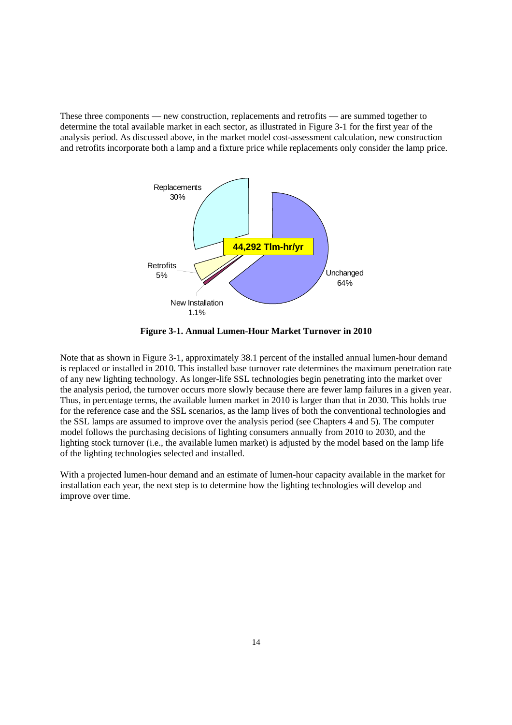<span id="page-20-0"></span>These three components — new construction, replacements and retrofits — are summed together to determine the total available market in each sector, as illustrated in Figure 3-1 for the first year of the analysis period. As discussed above, in the market model cost-assessment calculation, new construction and retrofits incorporate both a lamp and a fixture price while replacements only consider the lamp price.



 **Figure 3-1. Annual Lumen-Hour Market Turnover in 2010** 

 Thus, in percentage terms, the available lumen market in 2010 is larger than that in 2030. This holds true the SSL lamps are assumed to improve over the analysis period (see Chapters 4 and 5). The computer model follows the purchasing decisions of lighting consumers annually from 2010 to 2030, and the Note that as shown in Figure 3-1, approximately 38.1 percent of the installed annual lumen-hour demand is replaced or installed in 2010. This installed base turnover rate determines the maximum penetration rate of any new lighting technology. As longer-life SSL technologies begin penetrating into the market over the analysis period, the turnover occurs more slowly because there are fewer lamp failures in a given year. for the reference case and the SSL scenarios, as the lamp lives of both the conventional technologies and lighting stock turnover (i.e., the available lumen market) is adjusted by the model based on the lamp life of the lighting technologies selected and installed.

With a projected lumen-hour demand and an estimate of lumen-hour capacity available in the market for installation each year, the next step is to determine how the lighting technologies will develop and improve over time.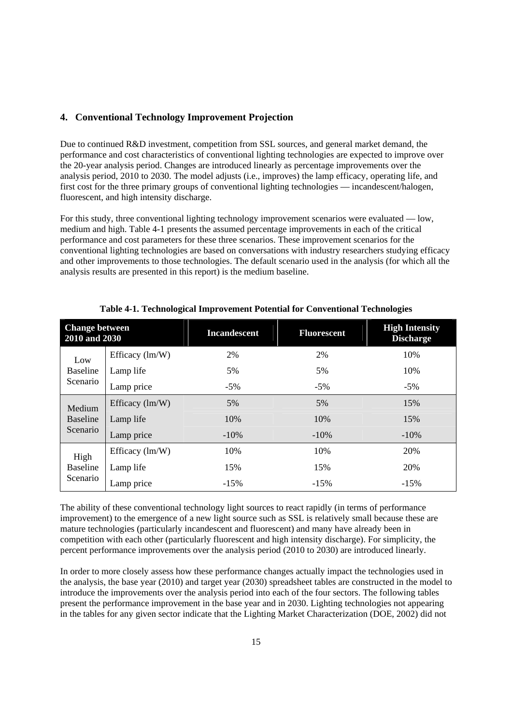### **4. Conventional Technology Improvement Projection**

Due to continued R&D investment, competition from SSL sources, and general market demand, the performance and cost characteristics of conventional lighting technologies are expected to improve over the 20-year analysis period. Changes are introduced linearly as percentage improvements over the analysis period, 2010 to 2030. The model adjusts (i.e., improves) the lamp efficacy, operating life, and first cost for the three primary groups of conventional lighting technologies — incandescent/halogen, fluorescent, and high intensity discharge.

 conventional lighting technologies are based on conversations with industry researchers studying efficacy analysis results are presented in this report) is the medium baseline. For this study, three conventional lighting technology improvement scenarios were evaluated — low, medium and high. Table 4-1 presents the assumed percentage improvements in each of the critical performance and cost parameters for these three scenarios. These improvement scenarios for the and other improvements to those technologies. The default scenario used in the analysis (for which all the

| <b>Change between</b><br>2010 and 2030 |                                               | <b>Incandescent</b> | <b>Fluorescent</b> | <b>High Intensity</b><br><b>Discharge</b> |  |
|----------------------------------------|-----------------------------------------------|---------------------|--------------------|-------------------------------------------|--|
| Low<br><b>Baseline</b><br>Scenario     | Efficacy $(lm/W)$                             | 2%                  | 2%                 | 10%                                       |  |
|                                        | Lamp life                                     | 5%                  | 5%                 | 10%                                       |  |
|                                        | Lamp price                                    | $-5\%$              | $-5\%$             | $-5\%$                                    |  |
| Medium                                 | Efficacy $\text{Im}/\text{W}$ )               | 5%                  | 5%                 | 15%                                       |  |
| Baseline                               | Lamp life                                     | 10%                 | 10%                | 15%                                       |  |
| Scenario                               | Lamp price                                    | $-10%$              | $-10\%$            | $-10\%$                                   |  |
| High                                   | Efficacy $\langle \text{Im}/\text{W} \rangle$ | 10%                 | 10%                | 20%                                       |  |
| <b>Baseline</b>                        | Lamp life                                     | 15%                 | 15%                | 20%                                       |  |
| Scenario                               | Lamp price                                    | $-15%$              | $-15%$             | $-15%$                                    |  |

**Table 4-1. Technological Improvement Potential for Conventional Technologies** 

The ability of these conventional technology light sources to react rapidly (in terms of performance improvement) to the emergence of a new light source such as SSL is relatively small because these are mature technologies (particularly incandescent and fluorescent) and many have already been in competition with each other (particularly fluorescent and high intensity discharge). For simplicity, the percent performance improvements over the analysis period (2010 to 2030) are introduced linearly.

In order to more closely assess how these performance changes actually impact the technologies used in the analysis, the base year (2010) and target year (2030) spreadsheet tables are constructed in the model to introduce the improvements over the analysis period into each of the four sectors. The following tables present the performance improvement in the base year and in 2030. Lighting technologies not appearing in the tables for any given sector indicate that the Lighting Market Characterization (DOE, 2002) did not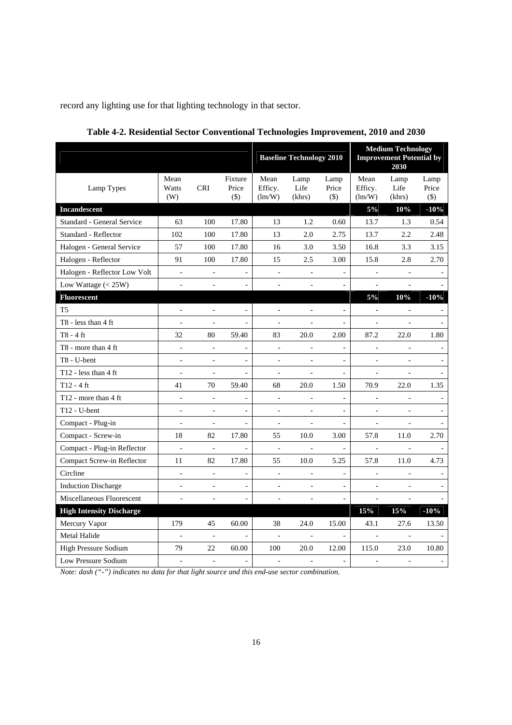record any lighting use for that lighting technology in that sector.

|                                  |                              |                          |                            | <b>Baseline Technology 2010</b> |                          |                          | <b>Medium Technology</b><br><b>Improvement Potential by</b><br>2030 |                          |                          |
|----------------------------------|------------------------------|--------------------------|----------------------------|---------------------------------|--------------------------|--------------------------|---------------------------------------------------------------------|--------------------------|--------------------------|
| Lamp Types                       | Mean<br>Watts<br>(W)         | <b>CRI</b>               | Fixture<br>Price<br>$(\$)$ | Mean<br>Efficy.<br>(lm/W)       | Lamp<br>Life<br>(khrs)   | Lamp<br>Price<br>$($ \$) | Mean<br>Efficy.<br>(lm/W)                                           | Lamp<br>Life<br>(khrs)   | Lamp<br>Price<br>$(\$)$  |
| <b>Incandescent</b>              |                              |                          |                            |                                 |                          |                          | $5\%$                                                               | 10%                      | $-10%$                   |
| Standard - General Service       | 63                           | 100                      | 17.80                      | 13                              | 1.2                      | 0.60                     | 13.7                                                                | 1.3                      | 0.54                     |
| Standard - Reflector             | 102                          | 100                      | 17.80                      | 13                              | 2.0                      | 2.75                     | 13.7                                                                | 2.2                      | 2.48                     |
| Halogen - General Service        | 57                           | 100                      | 17.80                      | 16                              | 3.0                      | 3.50                     | 16.8                                                                | 3.3                      | 3.15                     |
| Halogen - Reflector              | 91                           | 100                      | 17.80                      | 15                              | 2.5                      | 3.00                     | 15.8                                                                | 2.8                      | 2.70                     |
| Halogen - Reflector Low Volt     | $\qquad \qquad \blacksquare$ | $\blacksquare$           | -                          | $\qquad \qquad \blacksquare$    | $\overline{\phantom{m}}$ | $\overline{\phantom{0}}$ | ÷                                                                   | ÷                        |                          |
| Low Wattage $(< 25W)$            | $\overline{\phantom{a}}$     | $\overline{\phantom{a}}$ | $\blacksquare$             | $\overline{\phantom{a}}$        | $\overline{\phantom{a}}$ | $\overline{a}$           | $\overline{\phantom{a}}$                                            | $\overline{\phantom{a}}$ |                          |
| <b>Fluorescent</b>               |                              |                          |                            |                                 |                          |                          | $5\%$                                                               | 10%                      | $-10%$                   |
| T <sub>5</sub>                   | $\overline{a}$               | $\overline{a}$           | $\overline{a}$             | $\overline{\phantom{a}}$        | $\overline{a}$           | ÷,                       | $\frac{1}{2}$                                                       | $\frac{1}{2}$            |                          |
| $T8 - less than 4 ft$            |                              |                          | $\overline{a}$             | L,                              |                          | $\overline{a}$           | $\frac{1}{2}$                                                       |                          |                          |
| T8 - 4 ft                        | 32                           | 80                       | 59.40                      | 83                              | 20.0                     | 2.00                     | 87.2                                                                | 22.0                     | 1.80                     |
| T8 - more than 4 ft              | $\overline{\phantom{a}}$     | $\Box$                   | $\overline{a}$             | $\Box$                          | $\overline{a}$           | $\overline{a}$           | $\blacksquare$                                                      | $\bar{\phantom{a}}$      | $\overline{\phantom{a}}$ |
| T8 - U-bent                      | ÷,                           |                          | $\frac{1}{2}$              | $\qquad \qquad \blacksquare$    | $\overline{a}$           | $\blacksquare$           | $\frac{1}{2}$                                                       | $\blacksquare$           |                          |
| T <sub>12</sub> - less than 4 ft | $\overline{a}$               | $\overline{a}$           | $\overline{a}$             | $\overline{\phantom{a}}$        | $\overline{a}$           | $\overline{a}$           | $\overline{a}$                                                      | $\overline{\phantom{a}}$ |                          |
| $T12 - 4$ ft                     | 41                           | 70                       | 59.40                      | 68                              | 20.0                     | 1.50                     | 70.9                                                                | 22.0                     | 1.35                     |
| T12 - more than 4 ft             | $\overline{a}$               | $\blacksquare$           | $\overline{a}$             | $\overline{\phantom{a}}$        | $\overline{\phantom{a}}$ | $\overline{a}$           | $\overline{\phantom{a}}$                                            | $\frac{1}{2}$            | $\blacksquare$           |
| $T12 - U$ -bent                  | $\overline{a}$               | $\frac{1}{2}$            | $\overline{\phantom{0}}$   | $\blacksquare$                  | $\overline{a}$           |                          | ÷,                                                                  | $\blacksquare$           |                          |
| Compact - Plug-in                | $\overline{\phantom{a}}$     | $\blacksquare$           | $\blacksquare$             | $\Box$                          | $\blacksquare$           | $\blacksquare$           | $\blacksquare$                                                      | $\blacksquare$           |                          |
| Compact - Screw-in               | 18                           | 82                       | 17.80                      | 55                              | 10.0                     | 3.00                     | 57.8                                                                | 11.0                     | 2.70                     |
| Compact - Plug-in Reflector      | ÷                            | $\overline{a}$           | ÷,                         | $\qquad \qquad \blacksquare$    | ÷                        | ÷,                       | ÷                                                                   | $\blacksquare$           |                          |
| Compact Screw-in Reflector       | 11                           | 82                       | 17.80                      | 55                              | 10.0                     | 5.25                     | 57.8                                                                | 11.0                     | 4.73                     |
| Circline                         | $\frac{1}{2}$                | $\blacksquare$           | $\blacksquare$             | $\qquad \qquad \blacksquare$    |                          |                          | $\overline{a}$                                                      |                          |                          |
| <b>Induction Discharge</b>       |                              | $\overline{a}$           | $\frac{1}{2}$              | $\overline{a}$                  | $\overline{a}$           | $\overline{a}$           | $\overline{a}$                                                      | $\overline{a}$           |                          |
| Miscellaneous Fluorescent        |                              |                          | $\overline{\phantom{0}}$   | $\frac{1}{2}$                   |                          |                          | $\overline{\phantom{a}}$                                            | $\overline{\phantom{a}}$ |                          |
| <b>High Intensity Discharge</b>  |                              |                          |                            |                                 |                          |                          | 15%                                                                 | 15%                      | $-10%$                   |
| Mercury Vapor                    | 179                          | 45                       | 60.00                      | 38                              | 24.0                     | 15.00                    | 43.1                                                                | 27.6                     | 13.50                    |
| Metal Halide                     |                              | $\blacksquare$           | $\blacksquare$             | $\blacksquare$                  | $\blacksquare$           | $\blacksquare$           | $\overline{\phantom{a}}$                                            |                          |                          |
| High Pressure Sodium             | 79                           | 22                       | 60.00                      | 100                             | 20.0                     | 12.00                    | 115.0                                                               | 23.0                     | 10.80                    |
| Low Pressure Sodium              | $\sim$                       | $\sim$                   | ÷.                         | ä,                              | $\overline{\phantom{a}}$ | $\blacksquare$           | ٠                                                                   | $\sim$                   |                          |

 **Table 4-2. Residential Sector Conventional Technologies Improvement, 2010 and 2030**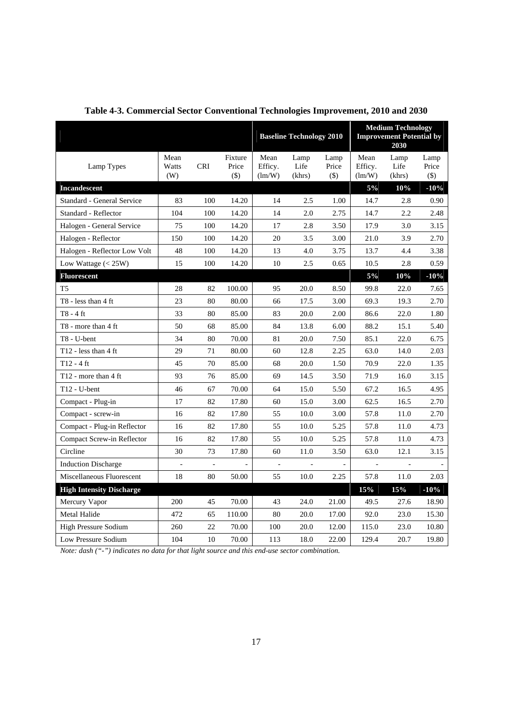|                                 |                          |                |                             |                           |                          | <b>Medium Technology</b><br><b>Improvement Potential by</b><br><b>Baseline Technology 2010</b><br>2030 |                           |                        |                        |
|---------------------------------|--------------------------|----------------|-----------------------------|---------------------------|--------------------------|--------------------------------------------------------------------------------------------------------|---------------------------|------------------------|------------------------|
| Lamp Types                      | Mean<br>Watts<br>(W)     | <b>CRI</b>     | Fixture<br>Price<br>$($ \$) | Mean<br>Efficy.<br>(lm/W) | Lamp<br>Life<br>(khrs)   | Lamp<br>Price<br>$($ \$)                                                                               | Mean<br>Efficy.<br>(lm/W) | Lamp<br>Life<br>(khrs) | Lamp<br>Price<br>$($)$ |
| Incandescent                    |                          |                |                             |                           |                          |                                                                                                        | 5%                        | 10%                    | $-10%$                 |
| Standard - General Service      | 83                       | 100            | 14.20                       | 14                        | 2.5                      | 1.00                                                                                                   | 14.7                      | 2.8                    | 0.90                   |
| Standard - Reflector            | 104                      | 100            | 14.20                       | 14                        | 2.0                      | 2.75                                                                                                   | 14.7                      | 2.2                    | 2.48                   |
| Halogen - General Service       | 75                       | 100            | 14.20                       | 17                        | 2.8                      | 3.50                                                                                                   | 17.9                      | 3.0                    | 3.15                   |
| Halogen - Reflector             | 150                      | 100            | 14.20                       | 20                        | 3.5                      | 3.00                                                                                                   | 21.0                      | 3.9                    | 2.70                   |
| Halogen - Reflector Low Volt    | 48                       | 100            | 14.20                       | 13                        | 4.0                      | 3.75                                                                                                   | 13.7                      | 4.4                    | 3.38                   |
| Low Wattage $(< 25W)$           | 15                       | 100            | 14.20                       | 10                        | 2.5                      | 0.65                                                                                                   | 10.5                      | 2.8                    | 0.59                   |
| <b>Fluorescent</b>              |                          |                |                             |                           |                          |                                                                                                        | $5\%$                     | 10%                    | $-10%$                 |
| T <sub>5</sub>                  | 28                       | 82             | 100.00                      | 95                        | 20.0                     | 8.50                                                                                                   | 99.8                      | 22.0                   | 7.65                   |
| T8 - less than 4 ft             | 23                       | 80             | 80.00                       | 66                        | 17.5                     | 3.00                                                                                                   | 69.3                      | 19.3                   | 2.70                   |
| T8 - 4 ft                       | 33                       | 80             | 85.00                       | 83                        | 20.0                     | 2.00                                                                                                   | 86.6                      | 22.0                   | 1.80                   |
| T8 - more than 4 ft             | 50                       | 68             | 85.00                       | 84                        | 13.8                     | 6.00                                                                                                   | 88.2                      | 15.1                   | 5.40                   |
| T8 - U-bent                     | 34                       | 80             | 70.00                       | 81                        | 20.0                     | 7.50                                                                                                   | 85.1                      | 22.0                   | 6.75                   |
| T12 - less than $4 \text{ ft}$  | 29                       | 71             | 80.00                       | 60                        | 12.8                     | 2.25                                                                                                   | 63.0                      | 14.0                   | 2.03                   |
| T12 - 4 ft                      | 45                       | 70             | 85.00                       | 68                        | 20.0                     | 1.50                                                                                                   | 70.9                      | 22.0                   | 1.35                   |
| T12 - more than 4 ft            | 93                       | 76             | 85.00                       | 69                        | 14.5                     | 3.50                                                                                                   | 71.9                      | 16.0                   | 3.15                   |
| T12 - U-bent                    | 46                       | 67             | 70.00                       | 64                        | 15.0                     | 5.50                                                                                                   | 67.2                      | 16.5                   | 4.95                   |
| Compact - Plug-in               | 17                       | 82             | 17.80                       | 60                        | 15.0                     | 3.00                                                                                                   | 62.5                      | 16.5                   | 2.70                   |
| Compact - screw-in              | 16                       | 82             | 17.80                       | 55                        | 10.0                     | 3.00                                                                                                   | 57.8                      | 11.0                   | 2.70                   |
| Compact - Plug-in Reflector     | 16                       | 82             | 17.80                       | 55                        | 10.0                     | 5.25                                                                                                   | 57.8                      | 11.0                   | 4.73                   |
| Compact Screw-in Reflector      | 16                       | 82             | 17.80                       | 55                        | 10.0                     | 5.25                                                                                                   | 57.8                      | 11.0                   | 4.73                   |
| Circline                        | 30                       | 73             | 17.80                       | 60                        | 11.0                     | 3.50                                                                                                   | 63.0                      | 12.1                   | 3.15                   |
| <b>Induction Discharge</b>      | $\overline{\phantom{a}}$ | $\blacksquare$ | ÷,                          | $\blacksquare$            | $\overline{\phantom{a}}$ | $\frac{1}{2}$                                                                                          | $\blacksquare$            | $\blacksquare$         |                        |
| Miscellaneous Fluorescent       | 18                       | 80             | 50.00                       | 55                        | 10.0                     | 2.25                                                                                                   | 57.8                      | 11.0                   | 2.03                   |
| <b>High Intensity Discharge</b> |                          |                |                             |                           |                          |                                                                                                        | 15%                       | 15%                    | $-10%$                 |
| Mercury Vapor                   | 200                      | 45             | 70.00                       | 43                        | 24.0                     | 21.00                                                                                                  | 49.5                      | 27.6                   | 18.90                  |
| Metal Halide                    | 472                      | 65             | 110.00                      | 80                        | 20.0                     | 17.00                                                                                                  | 92.0                      | 23.0                   | 15.30                  |
| <b>High Pressure Sodium</b>     | 260                      | 22             | 70.00                       | 100                       | 20.0                     | 12.00                                                                                                  | 115.0                     | 23.0                   | 10.80                  |
| Low Pressure Sodium             | 104                      | 10             | 70.00                       | 113                       | 18.0                     | 22.00                                                                                                  | 129.4                     | 20.7                   | 19.80                  |

 **Table 4-3. Commercial Sector Conventional Technologies Improvement, 2010 and 2030**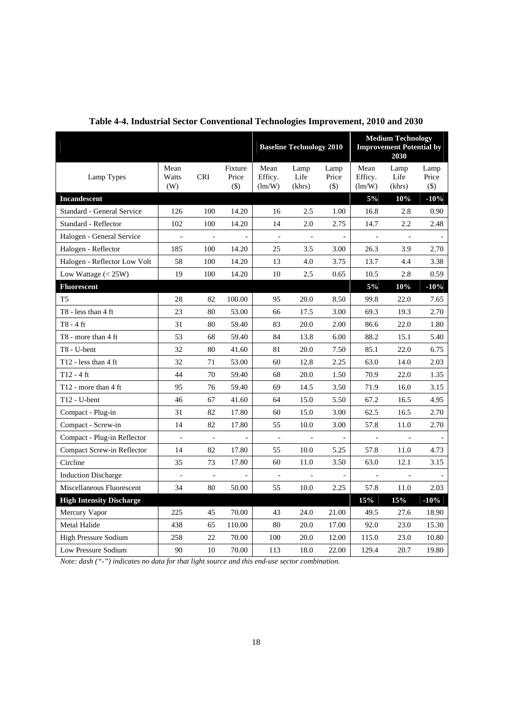|                                            |                      |                          |                             |                           | <b>Baseline Technology 2010</b> |                          | <b>Medium Technology</b><br><b>Improvement Potential by</b><br>2030 |                        |                          |
|--------------------------------------------|----------------------|--------------------------|-----------------------------|---------------------------|---------------------------------|--------------------------|---------------------------------------------------------------------|------------------------|--------------------------|
| Lamp Types                                 | Mean<br>Watts<br>(W) | <b>CRI</b>               | Fixture<br>Price<br>$($ \$) | Mean<br>Efficy.<br>(lm/W) | Lamp<br>Life<br>(khrs)          | Lamp<br>Price<br>$(\$)$  | Mean<br>Efficy.<br>(lm/W)                                           | Lamp<br>Life<br>(khrs) | Lamp<br>Price<br>$($ \$) |
| <b>Incandescent</b>                        |                      |                          |                             |                           |                                 |                          | $5\%$                                                               | 10%                    | $-10%$                   |
| Standard - General Service                 | 126                  | 100                      | 14.20                       | 16                        | 2.5                             | 1.00                     | 16.8                                                                | 2.8                    | 0.90                     |
| Standard - Reflector                       | 102                  | 100                      | 14.20                       | 14                        | 2.0                             | 2.75                     | 14.7                                                                | 2.2                    | 2.48                     |
| Halogen - General Service                  | $\bar{\phantom{a}}$  | $\sim$                   | $\Box$                      | $\Box$                    | $\omega$                        | $\overline{\phantom{a}}$ | $\overline{\phantom{a}}$                                            | $\omega$               |                          |
| Halogen - Reflector                        | 185                  | 100                      | 14.20                       | 25                        | 3.5                             | 3.00                     | 26.3                                                                | 3.9                    | 2.70                     |
| Halogen - Reflector Low Volt               | 58                   | 100                      | 14.20                       | 13                        | 4.0                             | 3.75                     | 13.7                                                                | 4.4                    | 3.38                     |
| Low Wattage $(< 25W)$                      | 19                   | 100                      | 14.20                       | 10                        | 2.5                             | 0.65                     | 10.5                                                                | 2.8                    | 0.59                     |
| <b>Fluorescent</b>                         |                      |                          |                             |                           |                                 |                          | $5\%$                                                               | 10%                    | $-10\%$                  |
| T <sub>5</sub>                             | 28                   | 82                       | 100.00                      | 95                        | 20.0                            | 8.50                     | 99.8                                                                | 22.0                   | 7.65                     |
| T8 - less than 4 ft                        | 23                   | 80                       | 53.00                       | 66                        | 17.5                            | 3.00                     | 69.3                                                                | 19.3                   | 2.70                     |
| T8 - 4 ft                                  | 31                   | 80                       | 59.40                       | 83                        | 20.0                            | 2.00                     | 86.6                                                                | 22.0                   | 1.80                     |
| T8 - more than 4 ft                        | 53                   | 68                       | 59.40                       | 84                        | 13.8                            | 6.00                     | 88.2                                                                | 15.1                   | 5.40                     |
| T8 - U-bent                                | 32                   | 80                       | 41.60                       | 81                        | 20.0                            | 7.50                     | 85.1                                                                | 22.0                   | 6.75                     |
| T <sub>12</sub> - less than $4 \text{ ft}$ | 32                   | 71                       | 53.00                       | 60                        | 12.8                            | 2.25                     | 63.0                                                                | 14.0                   | 2.03                     |
| $T12 - 4$ ft                               | 44                   | 70                       | 59.40                       | 68                        | 20.0                            | 1.50                     | 70.9                                                                | 22.0                   | 1.35                     |
| T12 - more than $4 \text{ ft}$             | 95                   | 76                       | 59.40                       | 69                        | 14.5                            | 3.50                     | 71.9                                                                | 16.0                   | 3.15                     |
| $T12 - U$ -bent                            | 46                   | 67                       | 41.60                       | 64                        | 15.0                            | 5.50                     | 67.2                                                                | 16.5                   | 4.95                     |
| Compact - Plug-in                          | 31                   | 82                       | 17.80                       | 60                        | 15.0                            | 3.00                     | 62.5                                                                | 16.5                   | 2.70                     |
| Compact - Screw-in                         | 14                   | 82                       | 17.80                       | 55                        | 10.0                            | 3.00                     | 57.8                                                                | 11.0                   | 2.70                     |
| Compact - Plug-in Reflector                | $\blacksquare$       | $\overline{\phantom{a}}$ | $\overline{\phantom{a}}$    | $\overline{\phantom{a}}$  | $\overline{\phantom{a}}$        | $\overline{\phantom{a}}$ | $\overline{\phantom{a}}$                                            | $\blacksquare$         |                          |
| Compact Screw-in Reflector                 | 14                   | 82                       | 17.80                       | 55                        | 10.0                            | 5.25                     | 57.8                                                                | 11.0                   | 4.73                     |
| Circline                                   | 35                   | 73                       | 17.80                       | 60                        | 11.0                            | 3.50                     | 63.0                                                                | 12.1                   | 3.15                     |
| <b>Induction Discharge</b>                 | $\Box$               | $\blacksquare$           | ä,                          | $\overline{\phantom{a}}$  | $\blacksquare$                  | $\overline{a}$           | $\blacksquare$                                                      | $\blacksquare$         |                          |
| Miscellaneous Fluorescent                  | 34                   | 80                       | 50.00                       | 55                        | 10.0                            | 2.25                     | 57.8                                                                | 11.0                   | 2.03                     |
| <b>High Intensity Discharge</b>            |                      |                          |                             |                           |                                 |                          | 15%                                                                 | 15%                    | $-10%$                   |
| Mercury Vapor                              | 225                  | 45                       | 70.00                       | 43                        | 24.0                            | 21.00                    | 49.5                                                                | 27.6                   | 18.90                    |
| Metal Halide                               | 438                  | 65                       | 110.00                      | 80                        | 20.0                            | 17.00                    | 92.0                                                                | 23.0                   | 15.30                    |
| <b>High Pressure Sodium</b>                | 258                  | 22                       | 70.00                       | 100                       | 20.0                            | 12.00                    | 115.0                                                               | 23.0                   | 10.80                    |
| Low Pressure Sodium                        | 90                   | 10                       | $70.00\,$                   | 113                       | 18.0                            | 22.00                    | 129.4                                                               | 20.7                   | 19.80                    |

**Table 4-4. Industrial Sector Conventional Technologies Improvement, 2010 and 2030**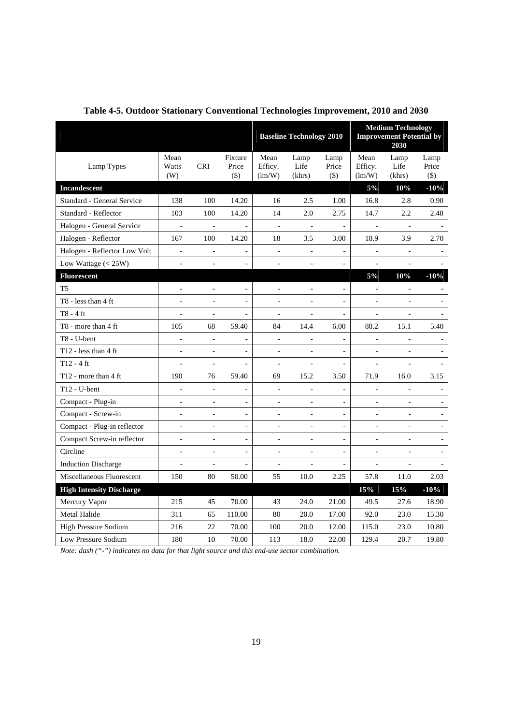|                                 |                          |                          |                              |                              | <b>Baseline Technology 2010</b> |                          | <b>Medium Technology</b><br><b>Improvement Potential by</b><br>2030 |                          |                          |
|---------------------------------|--------------------------|--------------------------|------------------------------|------------------------------|---------------------------------|--------------------------|---------------------------------------------------------------------|--------------------------|--------------------------|
| Lamp Types                      | Mean<br>Watts<br>(W)     | <b>CRI</b>               | Fixture<br>Price<br>$(\$)$   | Mean<br>Efficy.<br>(lm/W)    | Lamp<br>Life<br>(khrs)          | Lamp<br>Price<br>$($)$   | Mean<br>Efficy.<br>(lm/W)                                           | Lamp<br>Life<br>(khrs)   | Lamp<br>Price<br>$(\$)$  |
| <b>Incandescent</b>             |                          |                          |                              |                              |                                 |                          | $5\%$                                                               | 10%                      | $-10%$                   |
| Standard - General Service      | 138                      | 100                      | 14.20                        | 16                           | 2.5                             | 1.00                     | 16.8                                                                | 2.8                      | 0.90                     |
| Standard - Reflector            | 103                      | 100                      | 14.20                        | 14                           | 2.0                             | 2.75                     | 14.7                                                                | 2.2                      | 2.48                     |
| Halogen - General Service       | $\overline{a}$           | $\Box$                   | $\blacksquare$               | $\Box$                       | $\Box$                          | $\frac{1}{2}$            | $\blacksquare$                                                      | $\omega$                 | $\overline{\phantom{a}}$ |
| Halogen - Reflector             | 167                      | 100                      | 14.20                        | 18                           | 3.5                             | 3.00                     | 18.9                                                                | 3.9                      | 2.70                     |
| Halogen - Reflector Low Volt    | $\overline{\phantom{a}}$ | $\overline{\phantom{a}}$ | $\overline{\phantom{a}}$     | $\overline{\phantom{a}}$     | $\frac{1}{2}$                   | $\frac{1}{2}$            | $\blacksquare$                                                      | $\Box$                   |                          |
| Low Wattage $(< 25W)$           |                          |                          |                              |                              |                                 |                          | $\overline{a}$                                                      |                          |                          |
| <b>Fluorescent</b>              |                          |                          |                              |                              |                                 |                          | $5\%$                                                               | 10%                      | $-10%$                   |
| T <sub>5</sub>                  |                          |                          |                              | ÷,                           |                                 |                          | $\bar{\phantom{a}}$                                                 | $\bar{\phantom{a}}$      |                          |
| T8 - less than 4 ft             | $\overline{a}$           | $\overline{a}$           | $\blacksquare$               | ÷,                           | $\overline{a}$                  | $\frac{1}{2}$            | $\frac{1}{2}$                                                       | $\overline{\phantom{a}}$ | $\overline{\phantom{a}}$ |
| $T8 - 4$ ft                     | $\overline{a}$           | $\overline{a}$           | $\frac{1}{2}$                | ÷,                           | L,                              | $\overline{a}$           | $\frac{1}{2}$                                                       | $\overline{a}$           | $\blacksquare$           |
| T8 - more than 4 ft             | 105                      | 68                       | 59.40                        | 84                           | 14.4                            | 6.00                     | 88.2                                                                | 15.1                     | 5.40                     |
| T8 - U-bent                     | ÷,                       | $\overline{\phantom{a}}$ | $\blacksquare$               | $\overline{\phantom{a}}$     | $\blacksquare$                  | $\frac{1}{2}$            | $\overline{\phantom{a}}$                                            | $\overline{\phantom{a}}$ | $\overline{\phantom{a}}$ |
| T12 - less than 4 ft            | $\overline{\phantom{a}}$ | $\Box$                   | $\frac{1}{2}$                | $\Box$                       | ÷,                              |                          | $\overline{\phantom{a}}$                                            | $\overline{a}$           | $\blacksquare$           |
| $T12 - 4$ ft                    | $\blacksquare$           | $\blacksquare$           | $\frac{1}{2}$                | $\blacksquare$               | ÷,                              | $\blacksquare$           | $\overline{\phantom{a}}$                                            | $\overline{\phantom{a}}$ | $\blacksquare$           |
| T12 - more than 4 ft            | 190                      | 76                       | 59.40                        | 69                           | 15.2                            | 3.50                     | 71.9                                                                | 16.0                     | 3.15                     |
| $T12 - U$ -bent                 | $\overline{\phantom{a}}$ | $\frac{1}{2}$            | $\overline{\phantom{0}}$     | $\qquad \qquad \blacksquare$ | $\overline{\phantom{0}}$        | ÷                        | ÷                                                                   | $\overline{\phantom{a}}$ |                          |
| Compact - Plug-in               | $\frac{1}{2}$            | $\blacksquare$           | $\overline{\phantom{a}}$     | $\qquad \qquad \blacksquare$ | $\blacksquare$                  | ä,                       | $\overline{\phantom{a}}$                                            | $\overline{\phantom{a}}$ | $\overline{\phantom{a}}$ |
| Compact - Screw-in              | $\overline{a}$           | $\overline{a}$           | $\blacksquare$               | ÷,                           | ÷,                              | $\overline{a}$           | $\overline{\phantom{a}}$                                            | $\overline{a}$           | $\omega$                 |
| Compact - Plug-in reflector     | $\overline{\phantom{a}}$ | $\sim$                   | $\qquad \qquad \blacksquare$ | $\overline{\phantom{a}}$     | $\blacksquare$                  | $\overline{\phantom{a}}$ | $\overline{\phantom{a}}$                                            | $\overline{\phantom{a}}$ | $\overline{\phantom{a}}$ |
| Compact Screw-in reflector      |                          | $\overline{a}$           | $\overline{a}$               | $\overline{a}$               |                                 | $\overline{a}$           | $\overline{a}$                                                      |                          |                          |
| Circline                        | $\blacksquare$           | $\blacksquare$           | $\blacksquare$               | $\frac{1}{2}$                | $\blacksquare$                  | $\frac{1}{2}$            | $\frac{1}{2}$                                                       | $\blacksquare$           | $\overline{\phantom{a}}$ |
| <b>Induction Discharge</b>      | $\overline{\phantom{a}}$ | $\overline{\phantom{a}}$ | ÷,                           | Ξ                            | $\overline{a}$                  | $\overline{a}$           | $\overline{\phantom{a}}$                                            | $\overline{\phantom{a}}$ |                          |
| Miscellaneous Fluorescent       | 150                      | 80                       | 50.00                        | 55                           | 10.0                            | 2.25                     | 57.8                                                                | 11.0                     | 2.03                     |
| <b>High Intensity Discharge</b> |                          |                          |                              |                              |                                 |                          | 15%                                                                 | 15%                      | $-10%$                   |
| Mercury Vapor                   | 215                      | 45                       | 70.00                        | 43                           | 24.0                            | 21.00                    | 49.5                                                                | 27.6                     | 18.90                    |
| Metal Halide                    | 311                      | 65                       | 110.00                       | 80                           | 20.0                            | 17.00                    | 92.0                                                                | 23.0                     | 15.30                    |
| High Pressure Sodium            | 216                      | 22                       | 70.00                        | 100                          | 20.0                            | 12.00                    | 115.0                                                               | 23.0                     | 10.80                    |
| Low Pressure Sodium             | 180                      | 10                       | 70.00                        | 113                          | 18.0                            | 22.00                    | 129.4                                                               | 20.7                     | 19.80                    |

**Table 4-5. Outdoor Stationary Conventional Technologies Improvement, 2010 and 2030**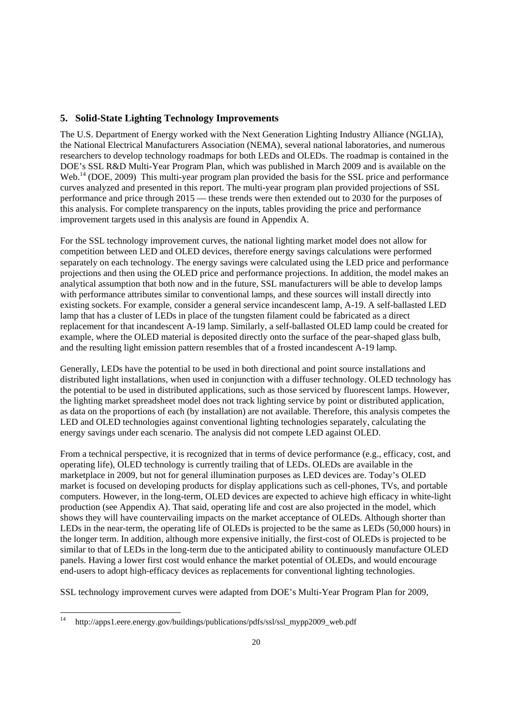## <span id="page-26-0"></span>**5. Solid-State Lighting Technology Improvements**

The U.S. Department of Energy worked with the Next Generation Lighting Industry Alliance (NGLIA), the National Electrical Manufacturers Association (NEMA), several national laboratories, and numerous researchers to develop technology roadmaps for both LEDs and OLEDs. The roadmap is contained in the DOE's SSL R&D Multi-Year Program Plan, which was published in March 2009 and is available on the Web.<sup>14</sup> (DOE, 2009) This multi-year program plan provided the basis for the SSL price and performance curves analyzed and presented in this report. The multi-year program plan provided projections of SSL performance and price through 2015 — these trends were then extended out to 2030 for the purposes of this analysis. For complete transparency on the inputs, tables providing the price and performance improvement targets used in this analysis are found in Appendix A.

 lamp that has a cluster of LEDs in place of the tungsten filament could be fabricated as a direct replacement for that incandescent A-19 lamp. Similarly, a self-ballasted OLED lamp could be created for For the SSL technology improvement curves, the national lighting market model does not allow for competition between LED and OLED devices, therefore energy savings calculations were performed separately on each technology. The energy savings were calculated using the LED price and performance projections and then using the OLED price and performance projections. In addition, the model makes an analytical assumption that both now and in the future, SSL manufacturers will be able to develop lamps with performance attributes similar to conventional lamps, and these sources will install directly into existing sockets. For example, consider a general service incandescent lamp, A-19. A self-ballasted LED example, where the OLED material is deposited directly onto the surface of the pear-shaped glass bulb, and the resulting light emission pattern resembles that of a frosted incandescent A-19 lamp.

 Generally, LEDs have the potential to be used in both directional and point source installations and the potential to be used in distributed applications, such as those serviced by fluorescent lamps. However, distributed light installations, when used in conjunction with a diffuser technology. OLED technology has the lighting market spreadsheet model does not track lighting service by point or distributed application, as data on the proportions of each (by installation) are not available. Therefore, this analysis competes the LED and OLED technologies against conventional lighting technologies separately, calculating the energy savings under each scenario. The analysis did not compete LED against OLED.

 From a technical perspective, it is recognized that in terms of device performance (e.g., efficacy, cost, and operating life), OLED technology is currently trailing that of LEDs. OLEDs are available in the production (see Appendix A). That said, operating life and cost are also projected in the model, which the longer term. In addition, although more expensive initially, the first-cost of OLEDs is projected to be marketplace in 2009, but not for general illumination purposes as LED devices are. Today's OLED market is focused on developing products for display applications such as cell-phones, TVs, and portable computers. However, in the long-term, OLED devices are expected to achieve high efficacy in white-light shows they will have countervailing impacts on the market acceptance of OLEDs. Although shorter than LEDs in the near-term, the operating life of OLEDs is projected to be the same as LEDs (50,000 hours) in similar to that of LEDs in the long-term due to the anticipated ability to continuously manufacture OLED panels. Having a lower first cost would enhance the market potential of OLEDs, and would encourage end-users to adopt high-efficacy devices as replacements for conventional lighting technologies.

SSL technology improvement curves were adapted from DOE's Multi-Year Program Plan for 2009,

<u>.</u>

http://apps1.eere.energy.gov/buildings/publications/pdfs/ssl/ssl\_mypp2009\_web.pdf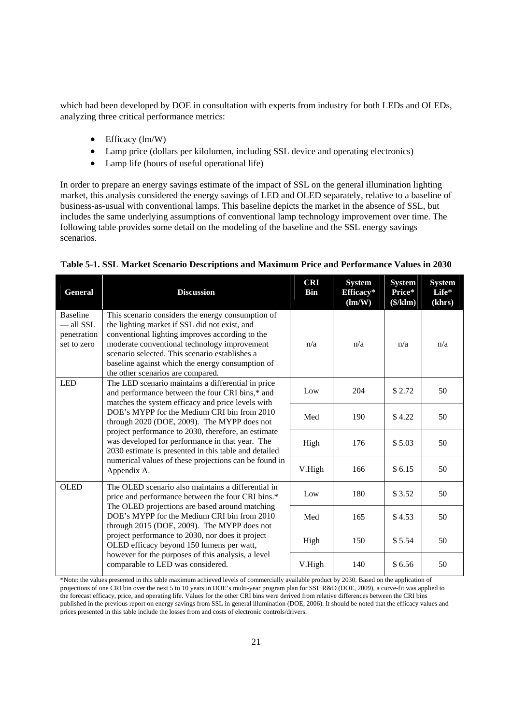which had been developed by DOE in consultation with experts from industry for both LEDs and OLEDs, analyzing three critical performance metrics:

- Efficacy (lm/W)
- Lamp price (dollars per kilolumen, including SSL device and operating electronics)
- Lamp life (hours of useful operational life)

 market, this analysis considered the energy savings of LED and OLED separately, relative to a baseline of In order to prepare an energy savings estimate of the impact of SSL on the general illumination lighting business-as-usual with conventional lamps. This baseline depicts the market in the absence of SSL, but includes the same underlying assumptions of conventional lamp technology improvement over time. The following table provides some detail on the modeling of the baseline and the SSL energy savings scenarios.

| <b>General</b>                                               | <b>Discussion</b>                                                                                                                                                                                                                                                                                                                                | <b>CRI</b><br><b>Bin</b> | <b>System</b><br>Efficacy*<br>$(\text{Im}/W)$ | <b>System</b><br>Price*<br>(\$/klm) | <b>System</b><br>Life*<br>(khrs) |
|--------------------------------------------------------------|--------------------------------------------------------------------------------------------------------------------------------------------------------------------------------------------------------------------------------------------------------------------------------------------------------------------------------------------------|--------------------------|-----------------------------------------------|-------------------------------------|----------------------------------|
| <b>Baseline</b><br>$-$ all SSL<br>penetration<br>set to zero | This scenario considers the energy consumption of<br>the lighting market if SSL did not exist, and<br>conventional lighting improves according to the<br>moderate conventional technology improvement<br>scenario selected. This scenario establishes a<br>baseline against which the energy consumption of<br>the other scenarios are compared. | n/a                      | n/a                                           | n/a                                 | n/a                              |
| <b>LED</b>                                                   | The LED scenario maintains a differential in price<br>and performance between the four CRI bins,* and<br>matches the system efficacy and price levels with                                                                                                                                                                                       | Low                      | 204                                           | \$2.72                              | 50                               |
|                                                              | DOE's MYPP for the Medium CRI bin from 2010<br>through 2020 (DOE, 2009). The MYPP does not<br>project performance to 2030, therefore, an estimate<br>was developed for performance in that year. The<br>2030 estimate is presented in this table and detailed<br>numerical values of these projections can be found in<br>Appendix A.            | Med                      | 190                                           | \$4.22                              | 50                               |
|                                                              |                                                                                                                                                                                                                                                                                                                                                  | High                     | 176                                           | \$5.03                              | 50                               |
|                                                              |                                                                                                                                                                                                                                                                                                                                                  | V.High                   | 166                                           | \$6.15                              | 50                               |
| <b>OLED</b>                                                  | The OLED scenario also maintains a differential in<br>price and performance between the four CRI bins.*                                                                                                                                                                                                                                          | Low                      | 180                                           | \$ 3.52                             | 50                               |
|                                                              | The OLED projections are based around matching<br>DOE's MYPP for the Medium CRI bin from 2010<br>through 2015 (DOE, 2009). The MYPP does not                                                                                                                                                                                                     | Med                      | 165                                           | \$4.53                              | 50                               |
|                                                              | project performance to 2030, nor does it project<br>OLED efficacy beyond 150 lumens per watt,<br>however for the purposes of this analysis, a level<br>comparable to LED was considered.                                                                                                                                                         | High                     | 150                                           | \$5.54                              | 50                               |
|                                                              |                                                                                                                                                                                                                                                                                                                                                  | V.High                   | 140                                           | \$6.56                              | 50                               |

#### **Table 5-1. SSL Market Scenario Descriptions and Maximum Price and Performance Values in 2030**

<sup>\*</sup>Note: the values presented in this table maximum achieved levels of commercially available product by 2030. Based on the application of projections of one CRI bin over the next 5 to 10 years in DOE's multi-year program plan for SSL R&D (DOE, 2009), a curve-fit was applied to the forecast efficacy, price, and operating life. Values for the other CRI bins were derived from relative differences between the CRI bins published in the previous report on energy savings from SSL in general illumination (DOE, 2006). It should be noted that the efficacy values and prices presented in this table include the losses from and costs of electronic controls/drivers.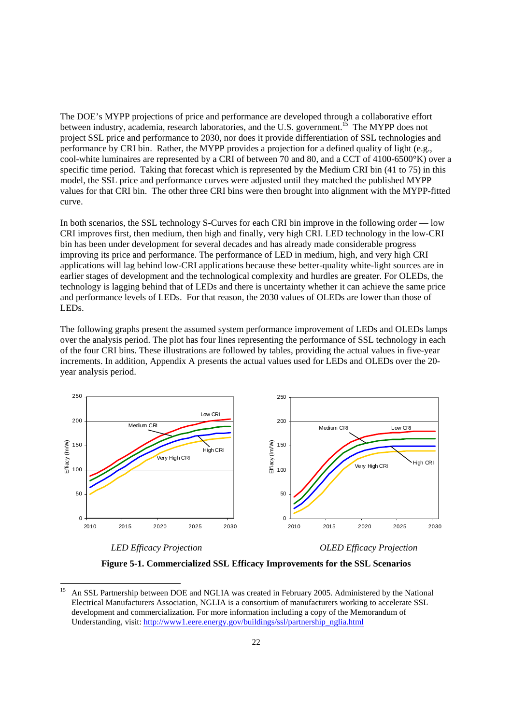model, the SSL price and performance curves were adjusted until they matched the published MYPP The DOE's MYPP projections of price and performance are developed through a collaborative effort between industry, academia, research laboratories, and the U.S. government.<sup>15</sup> The MYPP does not project SSL price and performance to 2030, nor does it provide differentiation of SSL technologies and performance by CRI bin. Rather, the MYPP provides a projection for a defined quality of light (e.g., cool-white luminaires are represented by a CRI of between 70 and 80, and a CCT of 4100-6500°K) over a specific time period. Taking that forecast which is represented by the Medium CRI bin (41 to 75) in this values for that CRI bin. The other three CRI bins were then brought into alignment with the MYPP-fitted curve.

In both scenarios, the SSL technology S-Curves for each CRI bin improve in the following order — low CRI improves first, then medium, then high and finally, very high CRI. LED technology in the low-CRI bin has been under development for several decades and has already made considerable progress improving its price and performance. The performance of LED in medium, high, and very high CRI applications will lag behind low-CRI applications because these better-quality white-light sources are in earlier stages of development and the technological complexity and hurdles are greater. For OLEDs, the technology is lagging behind that of LEDs and there is uncertainty whether it can achieve the same price and performance levels of LEDs. For that reason, the 2030 values of OLEDs are lower than those of LEDs.

 over the analysis period. The plot has four lines representing the performance of SSL technology in each The following graphs present the assumed system performance improvement of LEDs and OLEDs lamps of the four CRI bins. These illustrations are followed by tables, providing the actual values in five-year increments. In addition, Appendix A presents the actual values used for LEDs and OLEDs over the 20 year analysis period.





<u>.</u>

 *LED Efficacy Projection OLED Efficacy Projection* 

**Figure 5-1. Commercialized SSL Efficacy Improvements for the SSL Scenarios** 

Understanding, visit: http://www1.eere.energy.gov/buildings/ssl/partnership\_nglia.html 22 An SSL Partnership between DOE and NGLIA was created in February 2005. Administered by the National Electrical Manufacturers Association, NGLIA is a consortium of manufacturers working to accelerate SSL development and commercialization. For more information including a copy of the Memorandum of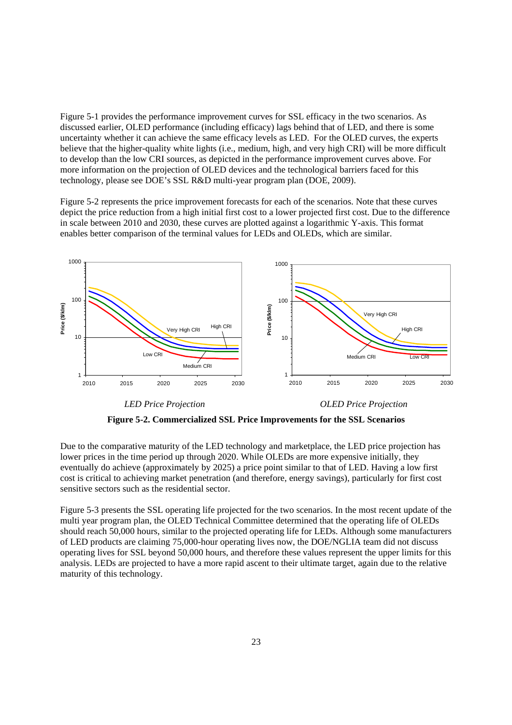<span id="page-29-0"></span>Figure 5-1 provides the performance improvement curves for SSL efficacy in the two scenarios. As discussed earlier, OLED performance (including efficacy) lags behind that of LED, and there is some uncertainty whether it can achieve the same efficacy levels as LED. For the OLED curves, the experts believe that the higher-quality white lights (i.e., medium, high, and very high CRI) will be more difficult to develop than the low CRI sources, as depicted in the performance improvement curves above. For more information on the projection of OLED devices and the technological barriers faced for this technology, please see DOE's SSL R&D multi-year program plan (DOE, 2009).

Figure 5-2 represents the price improvement forecasts for each of the scenarios. Note that these curves depict the price reduction from a high initial first cost to a lower projected first cost. Due to the difference in scale between 2010 and 2030, these curves are plotted against a logarithmic Y-axis. This format enables better comparison of the terminal values for LEDs and OLEDs, which are similar.



*LED Price Projection OLED Price Projection* 

**Figure 5-2. Commercialized SSL Price Improvements for the SSL Scenarios** 

 lower prices in the time period up through 2020. While OLEDs are more expensive initially, they Due to the comparative maturity of the LED technology and marketplace, the LED price projection has eventually do achieve (approximately by 2025) a price point similar to that of LED. Having a low first cost is critical to achieving market penetration (and therefore, energy savings), particularly for first cost sensitive sectors such as the residential sector.

 should reach 50,000 hours, similar to the projected operating life for LEDs. Although some manufacturers Figure 5-3 presents the SSL operating life projected for the two scenarios. In the most recent update of the multi year program plan, the OLED Technical Committee determined that the operating life of OLEDs of LED products are claiming 75,000-hour operating lives now, the DOE/NGLIA team did not discuss operating lives for SSL beyond 50,000 hours, and therefore these values represent the upper limits for this analysis. LEDs are projected to have a more rapid ascent to their ultimate target, again due to the relative maturity of this technology.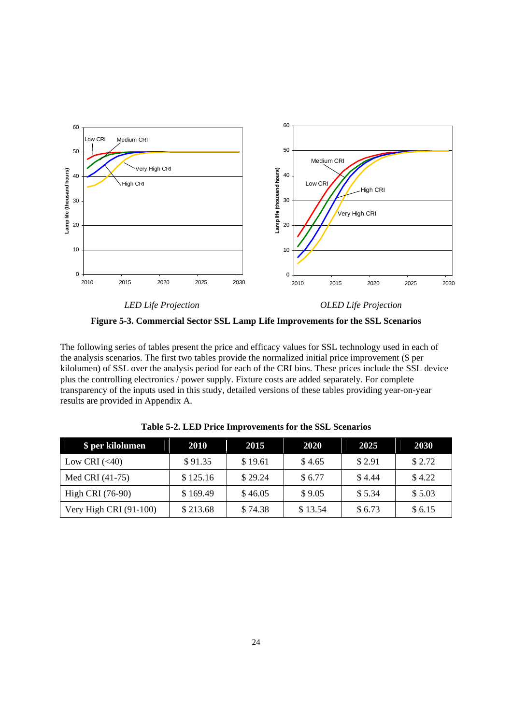

*LED Life Projection OLED Life Projection* 

**Figure 5-3. Commercial Sector SSL Lamp Life Improvements for the SSL Scenarios** 

 transparency of the inputs used in this study, detailed versions of these tables providing year-on-year The following series of tables present the price and efficacy values for SSL technology used in each of the analysis scenarios. The first two tables provide the normalized initial price improvement (\$ per kilolumen) of SSL over the analysis period for each of the CRI bins. These prices include the SSL device plus the controlling electronics / power supply. Fixture costs are added separately. For complete results are provided in Appendix A.

| \$ per kilolumen       | 2010     | 2015    | 2020    | 2025   | <b>2030</b> |
|------------------------|----------|---------|---------|--------|-------------|
| Low CRI $(<40)$        | \$91.35  | \$19.61 | \$4.65  | \$2.91 | \$2.72      |
| Med CRI (41-75)        | \$125.16 | \$29.24 | \$6.77  | \$4.44 | \$4.22      |
| High CRI (76-90)       | \$169.49 | \$46.05 | \$9.05  | \$5.34 | \$5.03      |
| Very High CRI (91-100) | \$213.68 | \$74.38 | \$13.54 | \$6.73 | \$6.15      |

**Table 5-2. LED Price Improvements for the SSL Scenarios**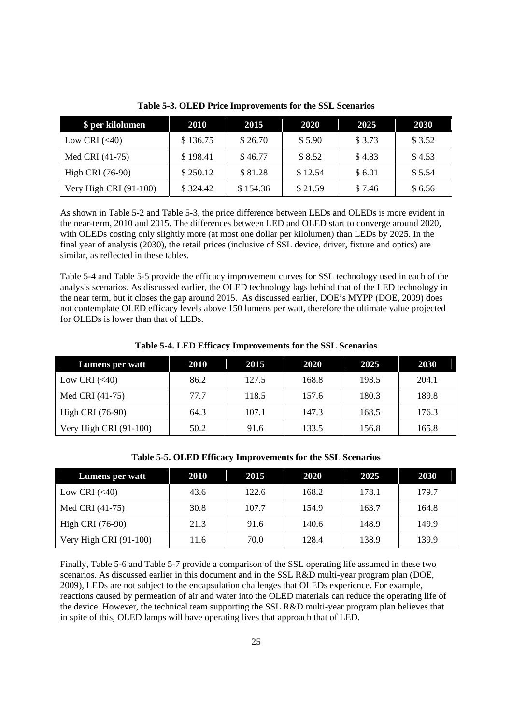| \$ per kilolumen       | 2010     | 2015     | 2020    | 2025   | 2030    |
|------------------------|----------|----------|---------|--------|---------|
| Low CRI $(<40)$        | \$136.75 | \$26.70  | \$5.90  | \$3.73 | \$ 3.52 |
| Med CRI (41-75)        | \$198.41 | \$46.77  | \$8.52  | \$4.83 | \$4.53  |
| High CRI (76-90)       | \$250.12 | \$81.28  | \$12.54 | \$6.01 | \$5.54  |
| Very High CRI (91-100) | \$324.42 | \$154.36 | \$21.59 | \$7.46 | \$6.56  |

**Table 5-3. OLED Price Improvements for the SSL Scenarios** 

 As shown in Table 5-2 and Table 5-3, the price difference between LEDs and OLEDs is more evident in with OLEDs costing only slightly more (at most one dollar per kilolumen) than LEDs by 2025. In the the near-term, 2010 and 2015. The differences between LED and OLED start to converge around 2020, final year of analysis (2030), the retail prices (inclusive of SSL device, driver, fixture and optics) are similar, as reflected in these tables.

 the near term, but it closes the gap around 2015. As discussed earlier, DOE's MYPP (DOE, 2009) does Table 5-4 and Table 5-5 provide the efficacy improvement curves for SSL technology used in each of the analysis scenarios. As discussed earlier, the OLED technology lags behind that of the LED technology in not contemplate OLED efficacy levels above 150 lumens per watt, therefore the ultimate value projected for OLEDs is lower than that of LEDs.

|  |  | Table 5-4. LED Efficacy Improvements for the SSL Scenarios |
|--|--|------------------------------------------------------------|
|--|--|------------------------------------------------------------|

| Lumens per watt        | 2010 | 2015  | 2020  | 2025  | 2030  |
|------------------------|------|-------|-------|-------|-------|
| Low CRI $(<40)$        | 86.2 | 127.5 | 168.8 | 193.5 | 204.1 |
| Med CRI (41-75)        | 77.7 | 118.5 | 157.6 | 180.3 | 189.8 |
| High CRI (76-90)       | 64.3 | 107.1 | 147.3 | 168.5 | 176.3 |
| Very High CRI (91-100) | 50.2 | 91.6  | 133.5 | 156.8 | 165.8 |

| Lumens per watt        | 2010 | 2015  | 2020  | 2025  | 2030  |
|------------------------|------|-------|-------|-------|-------|
| Low CRI $(<40)$        | 43.6 | 122.6 | 168.2 | 178.1 | 179.7 |
| Med CRI (41-75)        | 30.8 | 107.7 | 154.9 | 163.7 | 164.8 |
| High CRI (76-90)       | 21.3 | 91.6  | 140.6 | 148.9 | 149.9 |
| Very High CRI (91-100) | 11.6 | 70.0  | 128.4 | 138.9 | 139.9 |

**Table 5-5. OLED Efficacy Improvements for the SSL Scenarios** 

 reactions caused by permeation of air and water into the OLED materials can reduce the operating life of Finally, Table 5-6 and Table 5-7 provide a comparison of the SSL operating life assumed in these two scenarios. As discussed earlier in this document and in the SSL R&D multi-year program plan (DOE, 2009), LEDs are not subject to the encapsulation challenges that OLEDs experience. For example, the device. However, the technical team supporting the SSL R&D multi-year program plan believes that in spite of this, OLED lamps will have operating lives that approach that of LED.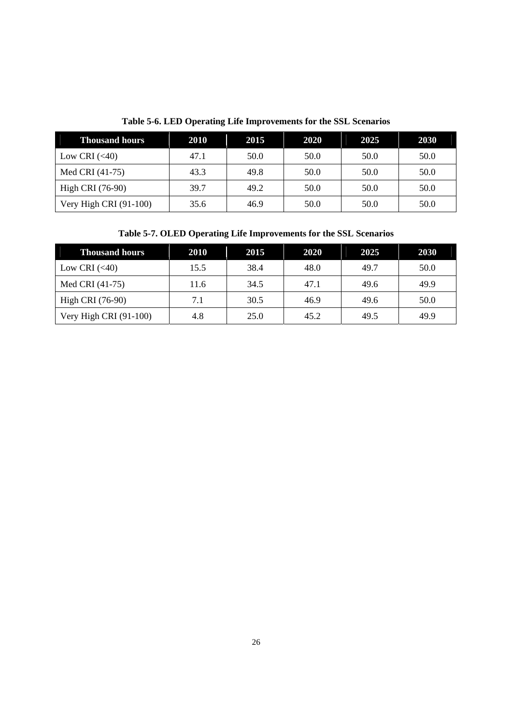| <b>Thousand hours</b>    | 2010 | 2015 | 2020 | 2025 | 2030 |
|--------------------------|------|------|------|------|------|
| Low CRI $(< 40)$         | 47.1 | 50.0 | 50.0 | 50.0 | 50.0 |
| Med CRI (41-75)          | 43.3 | 49.8 | 50.0 | 50.0 | 50.0 |
| High CRI (76-90)         | 39.7 | 49.2 | 50.0 | 50.0 | 50.0 |
| Very High CRI $(91-100)$ | 35.6 | 46.9 | 50.0 | 50.0 | 50.0 |

**Table 5-6. LED Operating Life Improvements for the SSL Scenarios** 

**Table 5-7. OLED Operating Life Improvements for the SSL Scenarios** 

| <b>Thousand hours</b>  | <b>2010</b> | 2015 | 2020 | 2025 | 2030 |
|------------------------|-------------|------|------|------|------|
| Low CRI $(<40)$        | 15.5        | 38.4 | 48.0 | 49.7 | 50.0 |
| Med CRI (41-75)        | 11.6        | 34.5 | 47.1 | 49.6 | 49.9 |
| High CRI (76-90)       | 7.1         | 30.5 | 46.9 | 49.6 | 50.0 |
| Very High CRI (91-100) | 4.8         | 25.0 | 45.2 | 49.5 | 49.9 |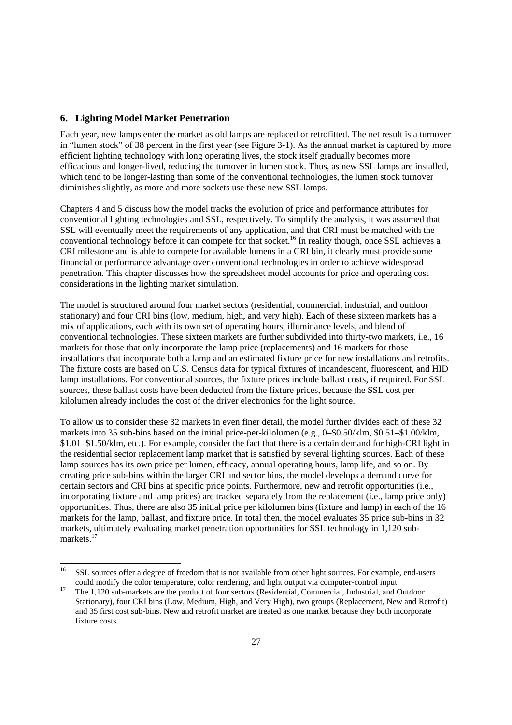#### <span id="page-33-0"></span>**6. Lighting Model Market Penetration**

<u>.</u>

 which tend to be longer-lasting than some of the conventional technologies, the lumen stock turnover Each year, new lamps enter the market as old lamps are replaced or retrofitted. The net result is a turnover in "lumen stock" of 38 percent in the first year (see Figure 3-1). As the annual market is captured by more efficient lighting technology with long operating lives, the stock itself gradually becomes more efficacious and longer-lived, reducing the turnover in lumen stock. Thus, as new SSL lamps are installed, diminishes slightly, as more and more sockets use these new SSL lamps.

 conventional lighting technologies and SSL, respectively. To simplify the analysis, it was assumed that Chapters 4 and 5 discuss how the model tracks the evolution of price and performance attributes for SSL will eventually meet the requirements of any application, and that CRI must be matched with the conventional technology before it can compete for that socket.16 In reality though, once SSL achieves a CRI milestone and is able to compete for available lumens in a CRI bin, it clearly must provide some financial or performance advantage over conventional technologies in order to achieve widespread penetration. This chapter discusses how the spreadsheet model accounts for price and operating cost considerations in the lighting market simulation.

 The fixture costs are based on U.S. Census data for typical fixtures of incandescent, fluorescent, and HID The model is structured around four market sectors (residential, commercial, industrial, and outdoor stationary) and four CRI bins (low, medium, high, and very high). Each of these sixteen markets has a mix of applications, each with its own set of operating hours, illuminance levels, and blend of conventional technologies. These sixteen markets are further subdivided into thirty-two markets, i.e., 16 markets for those that only incorporate the lamp price (replacements) and 16 markets for those installations that incorporate both a lamp and an estimated fixture price for new installations and retrofits. lamp installations. For conventional sources, the fixture prices include ballast costs, if required. For SSL sources, these ballast costs have been deducted from the fixture prices, because the SSL cost per kilolumen already includes the cost of the driver electronics for the light source.

 To allow us to consider these 32 markets in even finer detail, the model further divides each of these 32 opportunities. Thus, there are also 35 initial price per kilolumen bins (fixture and lamp) in each of the 16 markets into 35 sub-bins based on the initial price-per-kilolumen (e.g., 0–\$0.50/klm, \$0.51–\$1.00/klm, \$1.01–\$1.50/klm, etc.). For example, consider the fact that there is a certain demand for high-CRI light in the residential sector replacement lamp market that is satisfied by several lighting sources. Each of these lamp sources has its own price per lumen, efficacy, annual operating hours, lamp life, and so on. By creating price sub-bins within the larger CRI and sector bins, the model develops a demand curve for certain sectors and CRI bins at specific price points. Furthermore, new and retrofit opportunities (i.e., incorporating fixture and lamp prices) are tracked separately from the replacement (i.e., lamp price only) markets for the lamp, ballast, and fixture price. In total then, the model evaluates 35 price sub-bins in 32 markets, ultimately evaluating market penetration opportunities for SSL technology in 1,120 submarkets.<sup>17</sup>

SSL sources offer a degree of freedom that is not available from other light sources. For example, end-users

 $17$ could modify the color temperature, color rendering, and light output via computer-control input.<br>The 1,120 sub-markets are the product of four sectors (Residential, Commercial, Industrial, and Outdoor Stationary), four CRI bins (Low, Medium, High, and Very High), two groups (Replacement, New and Retrofit) and 35 first cost sub-bins. New and retrofit market are treated as one market because they both incorporate fixture costs.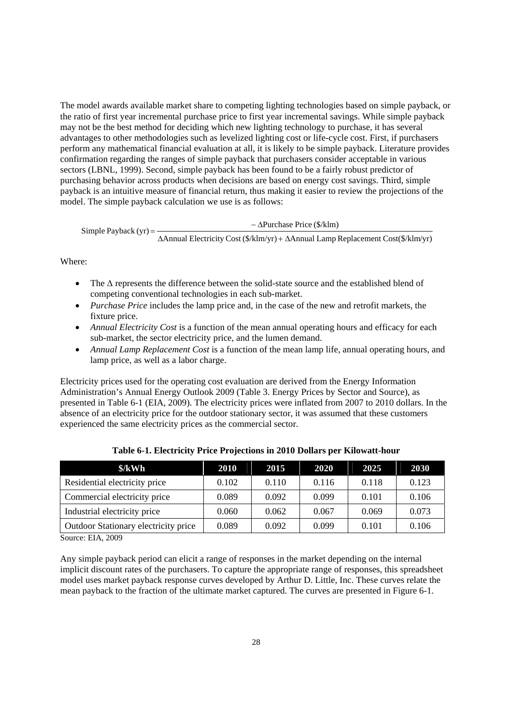The model awards available market share to competing lighting technologies based on simple payback, or may not be the best method for deciding which new lighting technology to purchase, it has several the ratio of first year incremental purchase price to first year incremental savings. While simple payback advantages to other methodologies such as levelized lighting cost or life-cycle cost. First, if purchasers perform any mathematical financial evaluation at all, it is likely to be simple payback. Literature provides confirmation regarding the ranges of simple payback that purchasers consider acceptable in various sectors (LBNL, 1999). Second, simple payback has been found to be a fairly robust predictor of purchasing behavior across products when decisions are based on energy cost savings. Third, simple payback is an intuitive measure of financial return, thus making it easier to review the projections of the model. The simple payback calculation we use is as follows:

 $\text{Simple Payback (yr)} =$   $-\Delta \text{Purchase Price ($/klm)}$ 

ΔAnnual Electricity Cost (\$/klm/yr) + ΔAnnual Lamp Replacement Cost(\$/klm/yr)

Where:

- The  $\Delta$  represents the difference between the solid-state source and the established blend of competing conventional technologies in each sub-market.
- *Purchase Price* includes the lamp price and, in the case of the new and retrofit markets, the fixture price.
- *Annual Electricity Cost* is a function of the mean annual operating hours and efficacy for each sub-market, the sector electricity price, and the lumen demand.
- *Annual Lamp Replacement Cost* is a function of the mean lamp life, annual operating hours, and lamp price, as well as a labor charge.

 presented in Table 6-1 (EIA, 2009). The electricity prices were inflated from 2007 to 2010 dollars. In the experienced the same electricity prices as the commercial sector. Electricity prices used for the operating cost evaluation are derived from the Energy Information Administration's Annual Energy Outlook 2009 (Table 3. Energy Prices by Sector and Source), as absence of an electricity price for the outdoor stationary sector, it was assumed that these customers

| \$/kWh                               | 2010  | 2015  | 2020  | 2025  | 2030  |
|--------------------------------------|-------|-------|-------|-------|-------|
| Residential electricity price        | 0.102 | 0.110 | 0.116 | 0.118 | 0.123 |
| Commercial electricity price         | 0.089 | 0.092 | 0.099 | 0.101 | 0.106 |
| Industrial electricity price         | 0.060 | 0.062 | 0.067 | 0.069 | 0.073 |
| Outdoor Stationary electricity price | 0.089 | 0.092 | 0.099 | 0.101 | 0.106 |

**Table 6-1. Electricity Price Projections in 2010 Dollars per Kilowatt-hour** 

Source: EIA, 2009

Any simple payback period can elicit a range of responses in the market depending on the internal implicit discount rates of the purchasers. To capture the appropriate range of responses, this spreadsheet model uses market payback response curves developed by Arthur D. Little, Inc. These curves relate the mean payback to the fraction of the ultimate market captured. The curves are presented in Figure 6-1.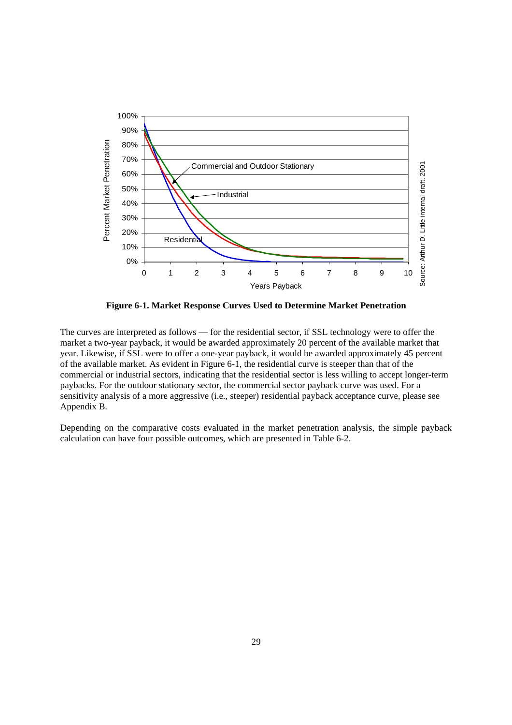

**Figure 6-1. Market Response Curves Used to Determine Market Penetration** 

 commercial or industrial sectors, indicating that the residential sector is less willing to accept longer-term The curves are interpreted as follows — for the residential sector, if SSL technology were to offer the market a two-year payback, it would be awarded approximately 20 percent of the available market that year. Likewise, if SSL were to offer a one-year payback, it would be awarded approximately 45 percent of the available market. As evident in Figure 6-1, the residential curve is steeper than that of the paybacks. For the outdoor stationary sector, the commercial sector payback curve was used. For a sensitivity analysis of a more aggressive (i.e., steeper) residential payback acceptance curve, please see Appendix B.

Depending on the comparative costs evaluated in the market penetration analysis, the simple payback calculation can have four possible outcomes, which are presented in Table 6-2.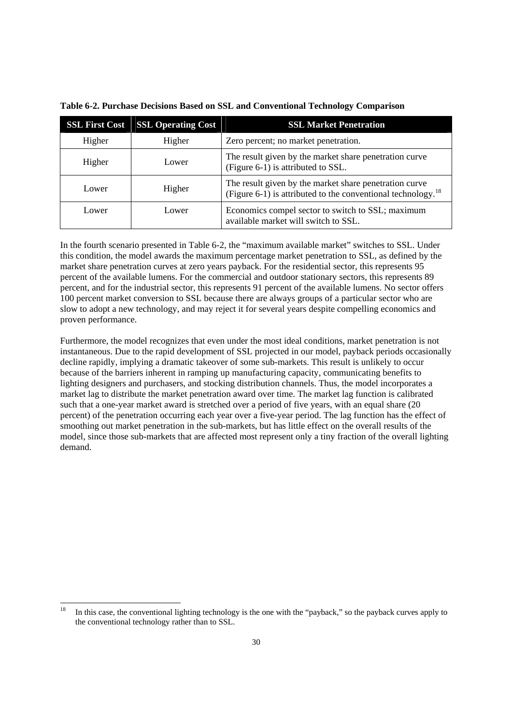| <b>SSL First Cost</b> | <b>SSL Operating Cost</b> | <b>SSL Market Penetration</b>                                                                                                      |
|-----------------------|---------------------------|------------------------------------------------------------------------------------------------------------------------------------|
| Higher                | Higher                    | Zero percent; no market penetration.                                                                                               |
| Higher                | Lower                     | The result given by the market share penetration curve<br>(Figure 6-1) is attributed to SSL.                                       |
| Lower                 | Higher                    | The result given by the market share penetration curve<br>(Figure 6-1) is attributed to the conventional technology. <sup>18</sup> |
| Lower                 | Lower                     | Economics compel sector to switch to SSL; maximum<br>available market will switch to SSL.                                          |

**Table 6-2. Purchase Decisions Based on SSL and Conventional Technology Comparison** 

 100 percent market conversion to SSL because there are always groups of a particular sector who are In the fourth scenario presented in Table 6-2, the "maximum available market" switches to SSL. Under this condition, the model awards the maximum percentage market penetration to SSL, as defined by the market share penetration curves at zero years payback. For the residential sector, this represents 95 percent of the available lumens. For the commercial and outdoor stationary sectors, this represents 89 percent, and for the industrial sector, this represents 91 percent of the available lumens. No sector offers slow to adopt a new technology, and may reject it for several years despite compelling economics and proven performance.

 market lag to distribute the market penetration award over time. The market lag function is calibrated percent) of the penetration occurring each year over a five-year period. The lag function has the effect of Furthermore, the model recognizes that even under the most ideal conditions, market penetration is not instantaneous. Due to the rapid development of SSL projected in our model, payback periods occasionally decline rapidly, implying a dramatic takeover of some sub-markets. This result is unlikely to occur because of the barriers inherent in ramping up manufacturing capacity, communicating benefits to lighting designers and purchasers, and stocking distribution channels. Thus, the model incorporates a such that a one-year market award is stretched over a period of five years, with an equal share (20 smoothing out market penetration in the sub-markets, but has little effect on the overall results of the model, since those sub-markets that are affected most represent only a tiny fraction of the overall lighting demand.

-

<sup>18</sup> In this case, the conventional lighting technology is the one with the "payback," so the payback curves apply to the conventional technology rather than to SSL.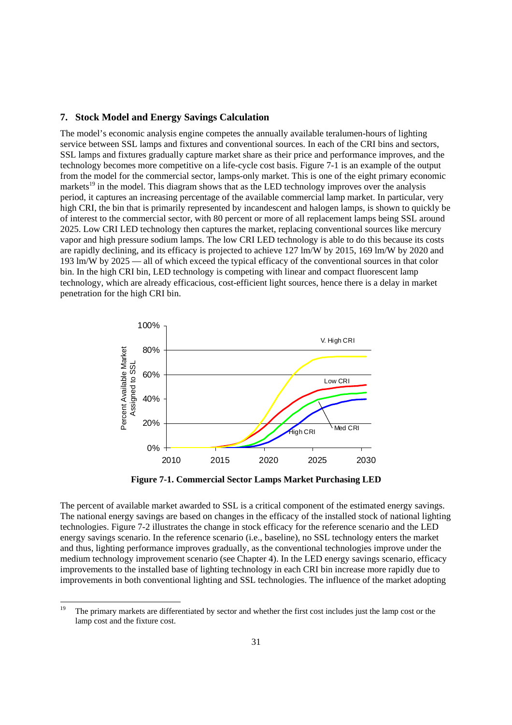#### **7. Stock Model and Energy Savings Calculation**

 period, it captures an increasing percentage of the available commercial lamp market. In particular, very of interest to the commercial sector, with 80 percent or more of all replacement lamps being SSL around are rapidly declining, and its efficacy is projected to achieve 127 lm/W by 2015, 169 lm/W by 2020 and The model's economic analysis engine competes the annually available teralumen-hours of lighting service between SSL lamps and fixtures and conventional sources. In each of the CRI bins and sectors, SSL lamps and fixtures gradually capture market share as their price and performance improves, and the technology becomes more competitive on a life-cycle cost basis. Figure 7-1 is an example of the output from the model for the commercial sector, lamps-only market. This is one of the eight primary economic markets<sup>19</sup> in the model. This diagram shows that as the LED technology improves over the analysis high CRI, the bin that is primarily represented by incandescent and halogen lamps, is shown to quickly be 2025. Low CRI LED technology then captures the market, replacing conventional sources like mercury vapor and high pressure sodium lamps. The low CRI LED technology is able to do this because its costs 193 lm/W by 2025 — all of which exceed the typical efficacy of the conventional sources in that color bin. In the high CRI bin, LED technology is competing with linear and compact fluorescent lamp technology, which are already efficacious, cost-efficient light sources, hence there is a delay in market penetration for the high CRI bin.



**Figure 7-1. Commercial Sector Lamps Market Purchasing LED** 

 The percent of available market awarded to SSL is a critical component of the estimated energy savings. The national energy savings are based on changes in the efficacy of the installed stock of national lighting technologies. Figure 7-2 illustrates the change in stock efficacy for the reference scenario and the LED energy savings scenario. In the reference scenario (i.e., baseline), no SSL technology enters the market and thus, lighting performance improves gradually, as the conventional technologies improve under the medium technology improvement scenario (see Chapter 4). In the LED energy savings scenario, efficacy improvements to the installed base of lighting technology in each CRI bin increase more rapidly due to improvements in both conventional lighting and SSL technologies. The influence of the market adopting

-

The primary markets are differentiated by sector and whether the first cost includes just the lamp cost or the lamp cost and the fixture cost.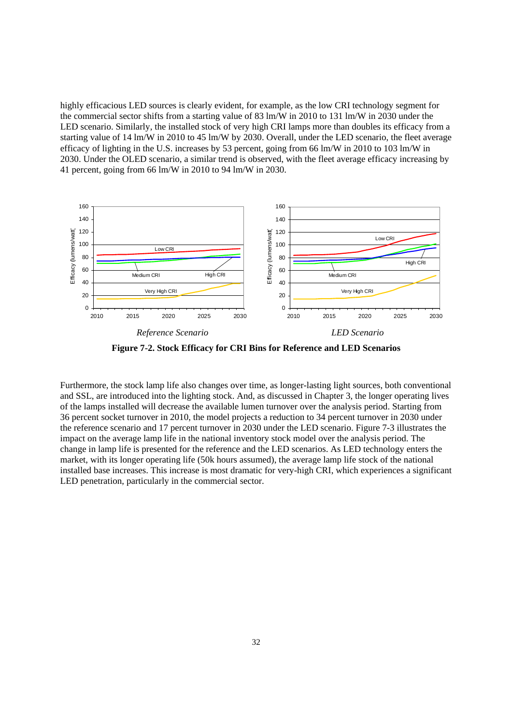<span id="page-38-0"></span> the commercial sector shifts from a starting value of 83 lm/W in 2010 to 131 lm/W in 2030 under the efficacy of lighting in the U.S. increases by 53 percent, going from 66 lm/W in 2010 to 103 lm/W in 41 percent, going from 66 lm/W in 2010 to 94 lm/W in 2030. highly efficacious LED sources is clearly evident, for example, as the low CRI technology segment for LED scenario. Similarly, the installed stock of very high CRI lamps more than doubles its efficacy from a starting value of 14 lm/W in 2010 to 45 lm/W by 2030. Overall, under the LED scenario, the fleet average 2030. Under the OLED scenario, a similar trend is observed, with the fleet average efficacy increasing by



**Figure 7-2. Stock Efficacy for CRI Bins for Reference and LED Scenarios** 

 impact on the average lamp life in the national inventory stock model over the analysis period. The change in lamp life is presented for the reference and the LED scenarios. As LED technology enters the Furthermore, the stock lamp life also changes over time, as longer-lasting light sources, both conventional and SSL, are introduced into the lighting stock. And, as discussed in Chapter 3, the longer operating lives of the lamps installed will decrease the available lumen turnover over the analysis period. Starting from 36 percent socket turnover in 2010, the model projects a reduction to 34 percent turnover in 2030 under the reference scenario and 17 percent turnover in 2030 under the LED scenario. Figure 7-3 illustrates the market, with its longer operating life (50k hours assumed), the average lamp life stock of the national installed base increases. This increase is most dramatic for very-high CRI, which experiences a significant LED penetration, particularly in the commercial sector.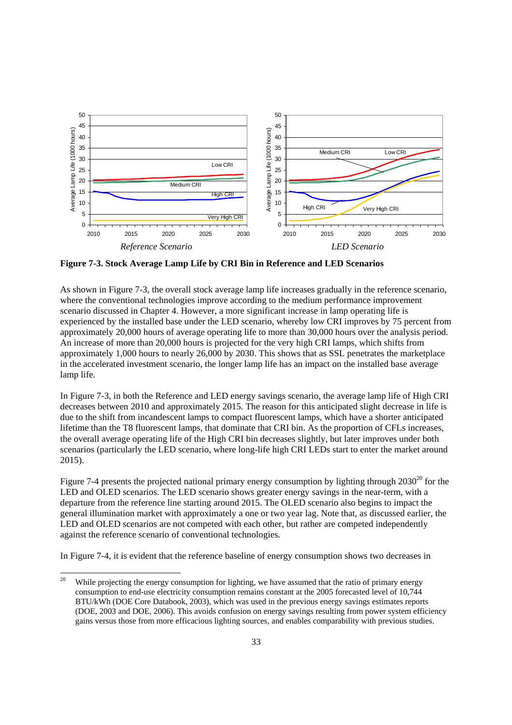<span id="page-39-0"></span>

**Figure 7-3. Stock Average Lamp Life by CRI Bin in Reference and LED Scenarios** 

 approximately 1,000 hours to nearly 26,000 by 2030. This shows that as SSL penetrates the marketplace As shown in Figure 7-3, the overall stock average lamp life increases gradually in the reference scenario, where the conventional technologies improve according to the medium performance improvement scenario discussed in Chapter 4. However, a more significant increase in lamp operating life is experienced by the installed base under the LED scenario, whereby low CRI improves by 75 percent from approximately 20,000 hours of average operating life to more than 30,000 hours over the analysis period. An increase of more than 20,000 hours is projected for the very high CRI lamps, which shifts from in the accelerated investment scenario, the longer lamp life has an impact on the installed base average lamp life.

In Figure 7-3, in both the Reference and LED energy savings scenario, the average lamp life of High CRI decreases between 2010 and approximately 2015. The reason for this anticipated slight decrease in life is due to the shift from incandescent lamps to compact fluorescent lamps, which have a shorter anticipated lifetime than the T8 fluorescent lamps, that dominate that CRI bin. As the proportion of CFLs increases, the overall average operating life of the High CRI bin decreases slightly, but later improves under both scenarios (particularly the LED scenario, where long-life high CRI LEDs start to enter the market around 2015).

Figure 7-4 presents the projected national primary energy consumption by lighting through  $2030^{20}$  for the LED and OLED scenarios. The LED scenario shows greater energy savings in the near-term, with a departure from the reference line starting around 2015. The OLED scenario also begins to impact the general illumination market with approximately a one or two year lag. Note that, as discussed earlier, the LED and OLED scenarios are not competed with each other, but rather are competed independently against the reference scenario of conventional technologies.

In Figure 7-4, it is evident that the reference baseline of energy consumption shows two decreases in

<u>.</u>

While projecting the energy consumption for lighting, we have assumed that the ratio of primary energy consumption to end-use electricity consumption remains constant at the 2005 forecasted level of 10,744 BTU/kWh (DOE Core Databook, 2003), which was used in the previous energy savings estimates reports (DOE, 2003 and DOE, 2006). This avoids confusion on energy savings resulting from power system efficiency gains versus those from more efficacious lighting sources, and enables comparability with previous studies.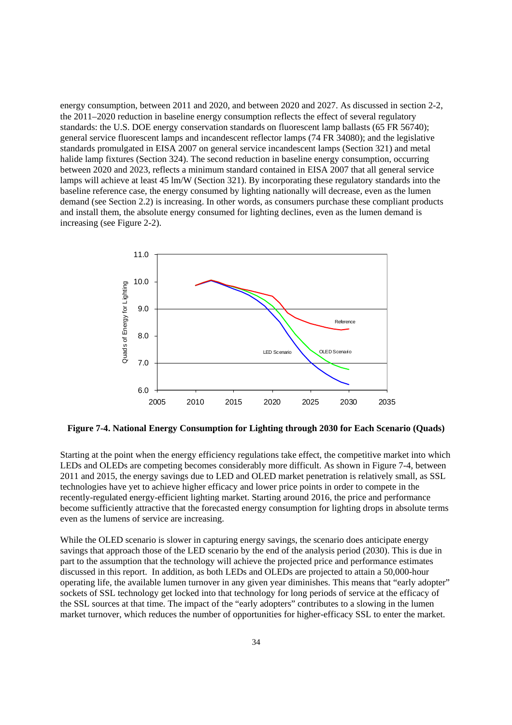energy consumption, between 2011 and 2020, and between 2020 and 2027. As discussed in section 2-2, the 2011–2020 reduction in baseline energy consumption reflects the effect of several regulatory standards: the U.S. DOE energy conservation standards on fluorescent lamp ballasts (65 FR 56740); standards promulgated in EISA 2007 on general service incandescent lamps (Section 321) and metal general service fluorescent lamps and incandescent reflector lamps (74 FR 34080); and the legislative halide lamp fixtures (Section 324). The second reduction in baseline energy consumption, occurring between 2020 and 2023, reflects a minimum standard contained in EISA 2007 that all general service lamps will achieve at least 45 lm/W (Section 321). By incorporating these regulatory standards into the baseline reference case, the energy consumed by lighting nationally will decrease, even as the lumen demand (see Section 2.2) is increasing. In other words, as consumers purchase these compliant products and install them, the absolute energy consumed for lighting declines, even as the lumen demand is increasing (see Figure 2-2).



**Figure 7-4. National Energy Consumption for Lighting through 2030 for Each Scenario (Quads)** 

Starting at the point when the energy efficiency regulations take effect, the competitive market into which LEDs and OLEDs are competing becomes considerably more difficult. As shown in Figure 7-4, between 2011 and 2015, the energy savings due to LED and OLED market penetration is relatively small, as SSL technologies have yet to achieve higher efficacy and lower price points in order to compete in the recently-regulated energy-efficient lighting market. Starting around 2016, the price and performance become sufficiently attractive that the forecasted energy consumption for lighting drops in absolute terms even as the lumens of service are increasing.

 discussed in this report. In addition, as both LEDs and OLEDs are projected to attain a 50,000-hour the SSL sources at that time. The impact of the "early adopters" contributes to a slowing in the lumen While the OLED scenario is slower in capturing energy savings, the scenario does anticipate energy savings that approach those of the LED scenario by the end of the analysis period (2030). This is due in part to the assumption that the technology will achieve the projected price and performance estimates operating life, the available lumen turnover in any given year diminishes. This means that "early adopter" sockets of SSL technology get locked into that technology for long periods of service at the efficacy of market turnover, which reduces the number of opportunities for higher-efficacy SSL to enter the market.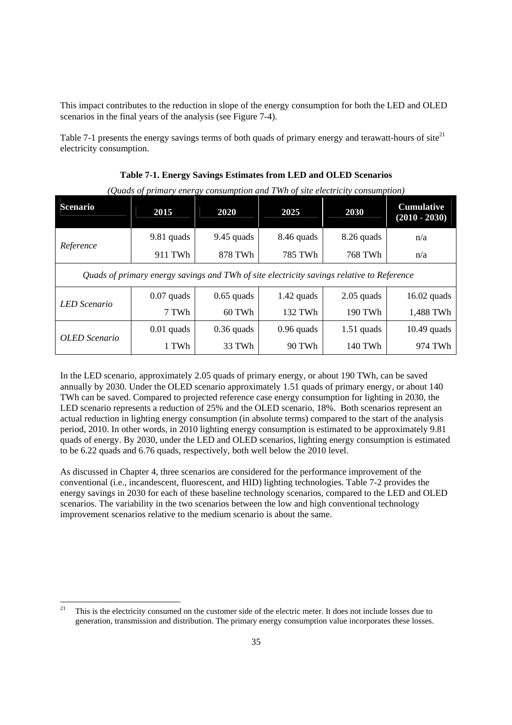This impact contributes to the reduction in slope of the energy consumption for both the LED and OLED scenarios in the final years of the analysis (see Figure 7-4).

Table 7-1 presents the energy savings terms of both quads of primary energy and terawatt-hours of site $^{21}$ electricity consumption.

| (Quaas of primary energy consumption and 1 mm of site electricity consumption) |                                                                                           |              |              |              |                                      |  |  |  |  |  |  |  |
|--------------------------------------------------------------------------------|-------------------------------------------------------------------------------------------|--------------|--------------|--------------|--------------------------------------|--|--|--|--|--|--|--|
| <b>Scenario</b>                                                                | 2015                                                                                      | 2020         | 2025         | 2030         | <b>Cumulative</b><br>$(2010 - 2030)$ |  |  |  |  |  |  |  |
|                                                                                | 9.81 quads                                                                                | $9.45$ quads | 8.46 quads   | 8.26 quads   | n/a                                  |  |  |  |  |  |  |  |
| Reference                                                                      | 911 TWh                                                                                   | 878 TWh      | 785 TWh      | 768 TWh      | n/a                                  |  |  |  |  |  |  |  |
|                                                                                | Quads of primary energy savings and TWh of site electricity savings relative to Reference |              |              |              |                                      |  |  |  |  |  |  |  |
| LED Scenario                                                                   | $0.07$ quads                                                                              | $0.65$ quads | $1.42$ quads | $2.05$ quads | $16.02$ quads                        |  |  |  |  |  |  |  |
|                                                                                | 7 TWh                                                                                     | 60 TWh       | 132 TWh      | 190 TWh      | 1,488 TWh                            |  |  |  |  |  |  |  |
| OLED Scenario                                                                  | $0.01$ quads                                                                              | $0.36$ quads | $0.96$ quads | $1.51$ quads | $10.49$ quads                        |  |  |  |  |  |  |  |
|                                                                                | 1 TWh                                                                                     | 33 TWh       | 90 TWh       | 140 TWh      | 974 TWh                              |  |  |  |  |  |  |  |

**Table 7-1. Energy Savings Estimates from LED and OLED Scenarios** 

*(Quads of primary energy consumption and TWh of site electricity consumption)* 

 In the LED scenario, approximately 2.05 quads of primary energy, or about 190 TWh, can be saved TWh can be saved. Compared to projected reference case energy consumption for lighting in 2030, the period, 2010. In other words, in 2010 lighting energy consumption is estimated to be approximately 9.81 annually by 2030. Under the OLED scenario approximately 1.51 quads of primary energy, or about 140 LED scenario represents a reduction of 25% and the OLED scenario, 18%. Both scenarios represent an actual reduction in lighting energy consumption (in absolute terms) compared to the start of the analysis quads of energy. By 2030, under the LED and OLED scenarios, lighting energy consumption is estimated to be 6.22 quads and 6.76 quads, respectively, both well below the 2010 level.

 energy savings in 2030 for each of these baseline technology scenarios, compared to the LED and OLED As discussed in Chapter 4, three scenarios are considered for the performance improvement of the conventional (i.e., incandescent, fluorescent, and HID) lighting technologies. Table 7-2 provides the scenarios. The variability in the two scenarios between the low and high conventional technology improvement scenarios relative to the medium scenario is about the same.

<u>.</u>

<sup>21</sup> This is the electricity consumed on the customer side of the electric meter. It does not include losses due to generation, transmission and distribution. The primary energy consumption value incorporates these losses.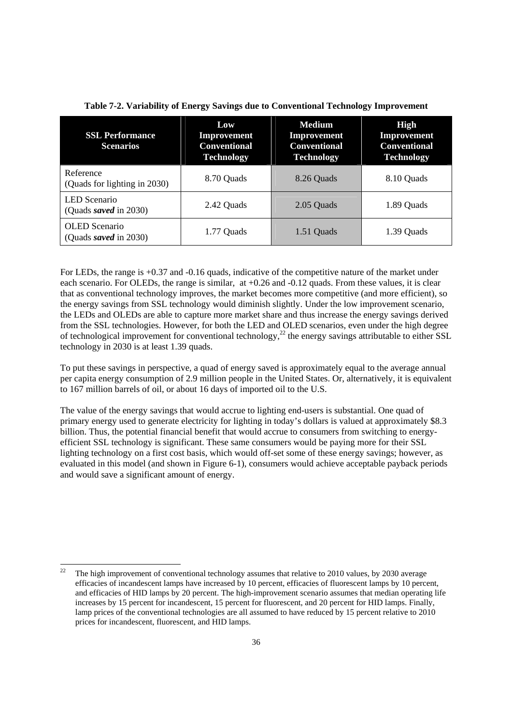| <b>SSL Performance</b><br><b>Scenarios</b>    | Low<br><b>Improvement</b><br><b>Conventional</b><br><b>Technology</b> | <b>Medium</b><br>Improvement<br><b>Conventional</b><br><b>Technology</b> | <b>High</b><br>Improvement<br><b>Conventional</b><br><b>Technology</b> |  |  |
|-----------------------------------------------|-----------------------------------------------------------------------|--------------------------------------------------------------------------|------------------------------------------------------------------------|--|--|
| Reference<br>(Quads for lighting in 2030)     | 8.70 Quads                                                            | 8.26 Quads                                                               | 8.10 Quads                                                             |  |  |
| <b>LED</b> Scenario<br>(Quads saved in 2030)  | 2.42 Quads                                                            | 2.05 Quads                                                               | 1.89 Quads                                                             |  |  |
| <b>OLED</b> Scenario<br>(Quads saved in 2030) | 1.77 Quads                                                            | 1.51 Quads                                                               | 1.39 Quads                                                             |  |  |

For LEDs, the range is  $+0.37$  and  $-0.16$  quads, indicative of the competitive nature of the market under each scenario. For OLEDs, the range is similar, at  $+0.26$  and  $-0.12$  quads. From these values, it is clear that as conventional technology improves, the market becomes more competitive (and more efficient), so the energy savings from SSL technology would diminish slightly. Under the low improvement scenario, the LEDs and OLEDs are able to capture more market share and thus increase the energy savings derived from the SSL technologies. However, for both the LED and OLED scenarios, even under the high degree of technological improvement for conventional technology,<sup>22</sup> the energy savings attributable to either SSL technology in 2030 is at least 1.39 quads.

To put these savings in perspective, a quad of energy saved is approximately equal to the average annual per capita energy consumption of 2.9 million people in the United States. Or, alternatively, it is equivalent to 167 million barrels of oil, or about 16 days of imported oil to the U.S.

 billion. Thus, the potential financial benefit that would accrue to consumers from switching to energy- efficient SSL technology is significant. These same consumers would be paying more for their SSL evaluated in this model (and shown in Figure 6-1), consumers would achieve acceptable payback periods and would save a significant amount of energy. The value of the energy savings that would accrue to lighting end-users is substantial. One quad of primary energy used to generate electricity for lighting in today's dollars is valued at approximately \$8.3 lighting technology on a first cost basis, which would off-set some of these energy savings; however, as

<u>.</u>

The high improvement of conventional technology assumes that relative to 2010 values, by 2030 average efficacies of incandescent lamps have increased by 10 percent, efficacies of fluorescent lamps by 10 percent, and efficacies of HID lamps by 20 percent. The high-improvement scenario assumes that median operating life increases by 15 percent for incandescent, 15 percent for fluorescent, and 20 percent for HID lamps. Finally, lamp prices of the conventional technologies are all assumed to have reduced by 15 percent relative to 2010 prices for incandescent, fluorescent, and HID lamps.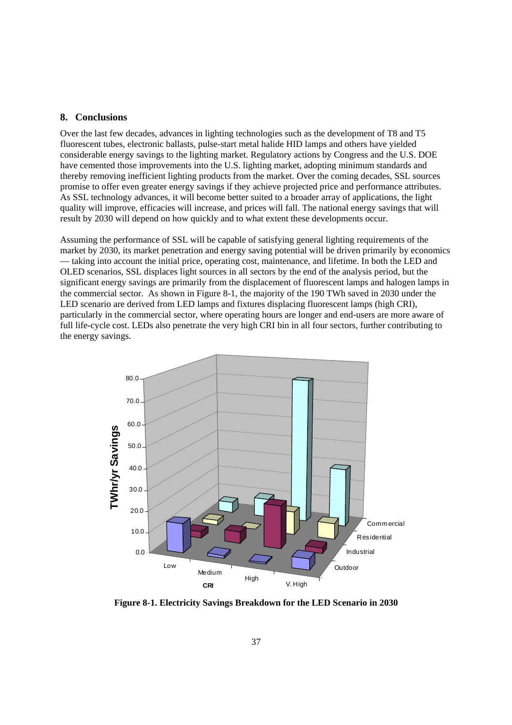#### <span id="page-43-0"></span>**8. Conclusions**

 As SSL technology advances, it will become better suited to a broader array of applications, the light Over the last few decades, advances in lighting technologies such as the development of T8 and T5 fluorescent tubes, electronic ballasts, pulse-start metal halide HID lamps and others have yielded considerable energy savings to the lighting market. Regulatory actions by Congress and the U.S. DOE have cemented those improvements into the U.S. lighting market, adopting minimum standards and thereby removing inefficient lighting products from the market. Over the coming decades, SSL sources promise to offer even greater energy savings if they achieve projected price and performance attributes. quality will improve, efficacies will increase, and prices will fall. The national energy savings that will result by 2030 will depend on how quickly and to what extent these developments occur.

 market by 2030, its market penetration and energy saving potential will be driven primarily by economics OLED scenarios, SSL displaces light sources in all sectors by the end of the analysis period, but the full life-cycle cost. LEDs also penetrate the very high CRI bin in all four sectors, further contributing to Assuming the performance of SSL will be capable of satisfying general lighting requirements of the — taking into account the initial price, operating cost, maintenance, and lifetime. In both the LED and significant energy savings are primarily from the displacement of fluorescent lamps and halogen lamps in the commercial sector. As shown in Figure 8-1, the majority of the 190 TWh saved in 2030 under the LED scenario are derived from LED lamps and fixtures displacing fluorescent lamps (high CRI), particularly in the commercial sector, where operating hours are longer and end-users are more aware of the energy savings.



**Figure 8-1. Electricity Savings Breakdown for the LED Scenario in 2030**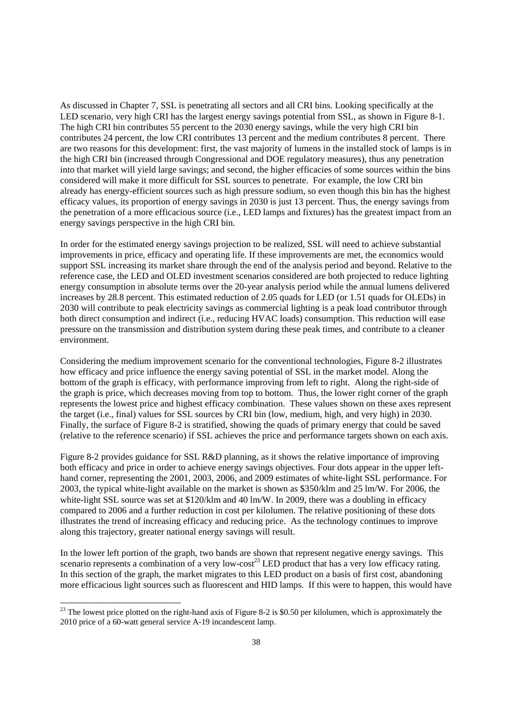As discussed in Chapter 7, SSL is penetrating all sectors and all CRI bins. Looking specifically at the LED scenario, very high CRI has the largest energy savings potential from SSL, as shown in Figure 8-1. The high CRI bin contributes 55 percent to the 2030 energy savings, while the very high CRI bin contributes 24 percent, the low CRI contributes 13 percent and the medium contributes 8 percent. There are two reasons for this development: first, the vast majority of lumens in the installed stock of lamps is in the high CRI bin (increased through Congressional and DOE regulatory measures), thus any penetration into that market will yield large savings; and second, the higher efficacies of some sources within the bins considered will make it more difficult for SSL sources to penetrate. For example, the low CRI bin already has energy-efficient sources such as high pressure sodium, so even though this bin has the highest efficacy values, its proportion of energy savings in 2030 is just 13 percent. Thus, the energy savings from the penetration of a more efficacious source (i.e., LED lamps and fixtures) has the greatest impact from an energy savings perspective in the high CRI bin.

 increases by 28.8 percent. This estimated reduction of 2.05 quads for LED (or 1.51 quads for OLEDs) in pressure on the transmission and distribution system during these peak times, and contribute to a cleaner In order for the estimated energy savings projection to be realized, SSL will need to achieve substantial improvements in price, efficacy and operating life. If these improvements are met, the economics would support SSL increasing its market share through the end of the analysis period and beyond. Relative to the reference case, the LED and OLED investment scenarios considered are both projected to reduce lighting energy consumption in absolute terms over the 20-year analysis period while the annual lumens delivered 2030 will contribute to peak electricity savings as commercial lighting is a peak load contributor through both direct consumption and indirect (i.e., reducing HVAC loads) consumption. This reduction will ease environment.

 (relative to the reference scenario) if SSL achieves the price and performance targets shown on each axis. Considering the medium improvement scenario for the conventional technologies, Figure 8-2 illustrates how efficacy and price influence the energy saving potential of SSL in the market model. Along the bottom of the graph is efficacy, with performance improving from left to right. Along the right-side of the graph is price, which decreases moving from top to bottom. Thus, the lower right corner of the graph represents the lowest price and highest efficacy combination. These values shown on these axes represent the target (i.e., final) values for SSL sources by CRI bin (low, medium, high, and very high) in 2030. Finally, the surface of Figure 8-2 is stratified, showing the quads of primary energy that could be saved

 compared to 2006 and a further reduction in cost per kilolumen. The relative positioning of these dots Figure 8-2 provides guidance for SSL R&D planning, as it shows the relative importance of improving both efficacy and price in order to achieve energy savings objectives. Four dots appear in the upper lefthand corner, representing the 2001, 2003, 2006, and 2009 estimates of white-light SSL performance. For 2003, the typical white-light available on the market is shown as \$350/klm and 25 lm/W. For 2006, the white-light SSL source was set at \$120/klm and 40 lm/W. In 2009, there was a doubling in efficacy illustrates the trend of increasing efficacy and reducing price. As the technology continues to improve along this trajectory, greater national energy savings will result.

In the lower left portion of the graph, two bands are shown that represent negative energy savings. This scenario represents a combination of a very low-cost<sup>23</sup> LED product that has a very low efficacy rating. In this section of the graph, the market migrates to this LED product on a basis of first cost, abandoning more efficacious light sources such as fluorescent and HID lamps. If this were to happen, this would have

<u>.</u>

 $^{23}$  The lowest price plotted on the right-hand axis of Figure 8-2 is \$0.50 per kilolumen, which is approximately the 2010 price of a 60-watt general service A-19 incandescent lamp.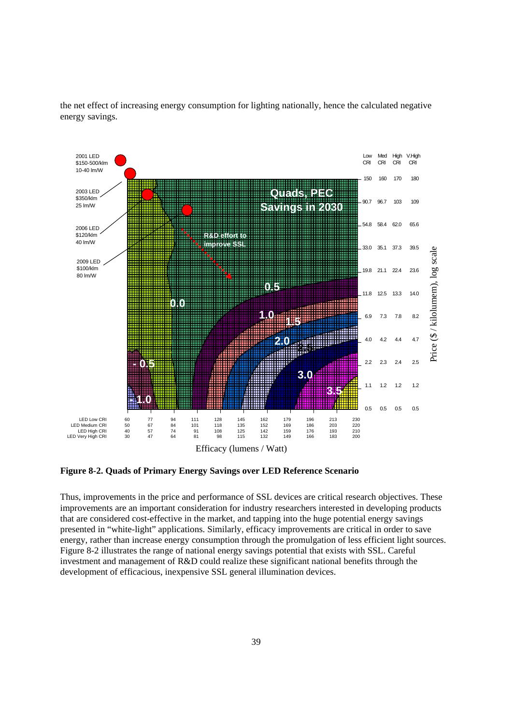

the net effect of increasing energy consumption for lighting nationally, hence the calculated negative energy savings.

**Figure 8-2. Quads of Primary Energy Savings over LED Reference Scenario** 

**0.5**  Thus, improvements in the price and performance of SSL devices are critical research objectives. These improvements are an important consideration for industry researchers interested in developing products that are considered cost-effective in the market, and tapping into the huge potential energy savings presented in "white-light" applications. Similarly, efficacy improvements are critical in order to save energy, rather than increase energy consumption through the promulgation of less efficient light sources. Figure 8-2 illustrates the range of national energy savings potential that exists with SSL. Careful investment and management of R&D could realize these significant national benefits through the development of efficacious, inexpensive SSL general illumination devices.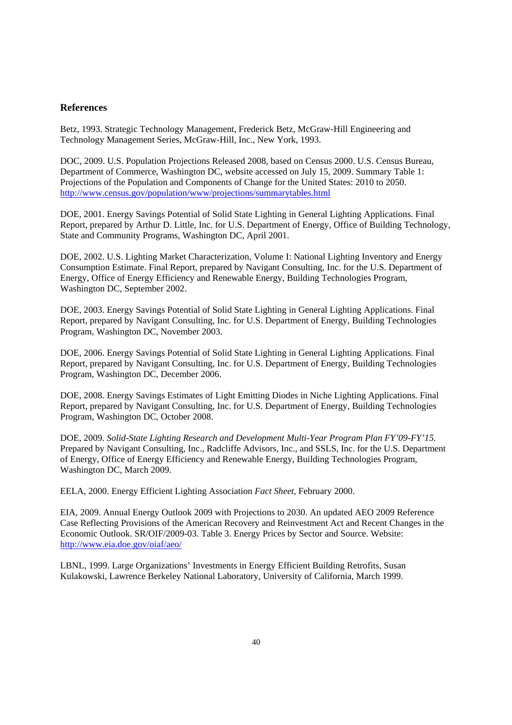#### **References**

Betz, 1993. Strategic Technology Management, Frederick Betz, McGraw-Hill Engineering and Technology Management Series, McGraw-Hill, Inc., New York, 1993.

 Department of Commerce, Washington DC, website accessed on July 15, 2009. Summary Table 1: DOC, 2009. U.S. Population Projections Released 2008, based on Census 2000. U.S. Census Bureau, Projections of the Population and Components of Change for the United States: 2010 to 2050. http://www.census.gov/population/www/projections/summarytables.html

DOE, 2001. Energy Savings Potential of Solid State Lighting in General Lighting Applications. Final Report, prepared by Arthur D. Little, Inc. for U.S. Department of Energy, Office of Building Technology, State and Community Programs, Washington DC, April 2001.

 DOE, 2002. U.S. Lighting Market Characterization, Volume I: National Lighting Inventory and Energy Consumption Estimate. Final Report, prepared by Navigant Consulting, Inc. for the U.S. Department of Energy, Office of Energy Efficiency and Renewable Energy, Building Technologies Program, Washington DC, September 2002.

DOE, 2003. Energy Savings Potential of Solid State Lighting in General Lighting Applications. Final Report, prepared by Navigant Consulting, Inc. for U.S. Department of Energy, Building Technologies Program, Washington DC, November 2003.

DOE, 2006. Energy Savings Potential of Solid State Lighting in General Lighting Applications. Final Report, prepared by Navigant Consulting, Inc. for U.S. Department of Energy, Building Technologies Program, Washington DC, December 2006.

DOE, 2008. Energy Savings Estimates of Light Emitting Diodes in Niche Lighting Applications. Final Report, prepared by Navigant Consulting, Inc. for U.S. Department of Energy, Building Technologies Program, Washington DC, October 2008.

DOE, 2009. *Solid-State Lighting Research and Development Multi-Year Program Plan FY'09-FY'15.*  Prepared by Navigant Consulting, Inc., Radcliffe Advisors, Inc., and SSLS, Inc. for the U.S. Department of Energy, Office of Energy Efficiency and Renewable Energy, Building Technologies Program, Washington DC, March 2009.

EELA, 2000. Energy Efficient Lighting Association *Fact Sheet*, February 2000.

 Economic Outlook. SR/OIF/2009-03. Table 3. Energy Prices by Sector and Source. Website: http://www.eia.doe.gov/oiaf/aeo/ EIA, 2009. Annual Energy Outlook 2009 with Projections to 2030. An updated AEO 2009 Reference Case Reflecting Provisions of the American Recovery and Reinvestment Act and Recent Changes in the

LBNL, 1999. Large Organizations' Investments in Energy Efficient Building Retrofits, Susan Kulakowski, Lawrence Berkeley National Laboratory, University of California, March 1999.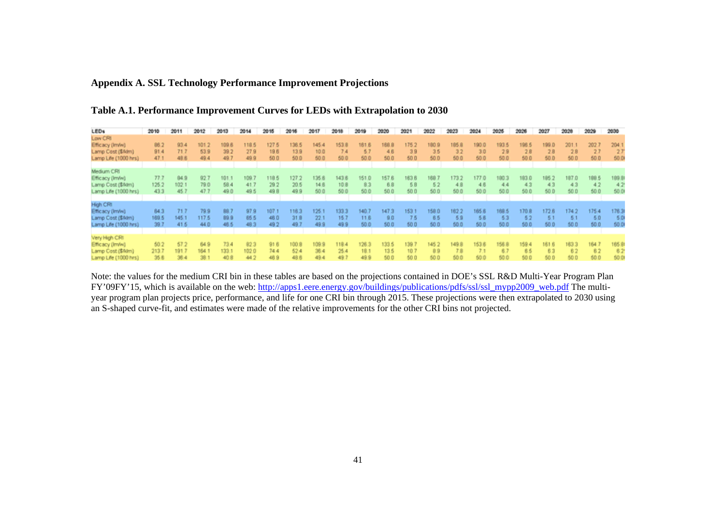#### <span id="page-47-0"></span>**Appendix A. SSL Technology Performance Improvement Projections**

| <b>LEDs</b>          | 2010  | 2011  | 2012  | 2013  | 2014  | 2015  | 2016  | 2017  | 2018  | 2019  | 2020  | 2021  | 2022  | 2023  | 2024  | 2025  | 2026  | 2027  | 2028  | 2029  | 2030  |
|----------------------|-------|-------|-------|-------|-------|-------|-------|-------|-------|-------|-------|-------|-------|-------|-------|-------|-------|-------|-------|-------|-------|
| Low CRI              |       |       |       |       |       |       |       |       |       |       |       |       |       |       |       |       |       |       |       |       |       |
| Efficacy (Im/w)      | 86.2  | 93.4  | 101.2 | 109.6 | 118.5 | 1275  | 136.5 | 145.4 | 153.1 | 161.6 | 168.8 | 175.  | 180.9 | 185.6 | 190.0 | 193.5 | 196   | 199.0 |       | 202   | 204.  |
| Lamp Cost (\$Alm)    | 91.4  | 71.7  | 53.9  | 39.2  | 27.9  | 196   | 139   | 10.0  | 74    | 5.7   | 46    | 3.9   | 35    | 32    | 30    | 2.9   | 28    | 2.8   | 2.8   | 21    | 27    |
| Lamp Life (1000 hrs) | 47.1  | 48.6  | 49.4  | 49.7  | 499   | 500   | 500   | 50.0  | 50.0  | 50.0  | 500   | 500   | 50.0  | 50.0  | 50.0  | 50.0  | 500   | 50.0  | 500   | 50.0  | 50.0  |
|                      |       |       |       |       |       |       |       |       |       |       |       |       |       |       |       |       |       |       |       |       |       |
| Medium CRI           |       |       |       |       |       |       |       |       |       |       |       |       |       |       |       |       |       |       |       |       |       |
| Efficacy (Im/w)      | 77.3  | 84.9  | 927   | 101.  | 109.  | 118.5 | 127.7 | 135.6 | 143.6 | 151.0 | 157.6 | 163.6 | 168.  |       | 77.0  | 180.3 | 183.0 | 185.  |       | 188.5 | 189.8 |
| Lamp Cost (\$A9m)    | 125.2 | 102   | 79.0  | 58.4  | 41.7  | 29.2  | 20.5  | 14.6  | 10.8  | 8.3   | 69    | 5B    | 52    | 48    | 4.6   | 可用    | -4.3  | 43    | 43    | $-47$ | 42    |
| Lamp Life (1000 hrs) | 433   | 45.   | 477   | 49.0  | 49.5  | 49.8  | 49.9  | 50.0  | 50.0  | 50.0  | 500   | 500   | 500   | 50.0  | 50.0  | 50.0  | 500   | 500   | 500   | 50.0  | 50.0  |
|                      |       |       |       |       |       |       |       |       |       |       |       |       |       |       |       |       |       |       |       |       |       |
| High CRI             |       |       |       |       |       |       |       |       |       |       |       |       |       |       |       |       |       |       |       |       |       |
| Efficacy (Im/w)      | 84.3  | 71.7  | 79.9  | 89.7  | 97.9  | 107.  | 116.3 | 125.1 | 133.3 | 140.7 | 147.3 | 1531  | 158.0 | 162.2 | 65.6  | 188.5 | 170.8 | 172.6 | 174.2 | 175.4 | 176.3 |
| Lamp Cost (\$Alm)    | 169.5 | 145.1 | 117.5 | 89.9  | 65.5  | 46.0  | 31.8  | 22.1  | 15.7  | 11.6  | 90    | 75    | 65    | 5.9   | 5.6   | 63    | 52    | 5.1   | 5.1   | 5.0   | 5.0   |
| Lamp Life (1000 hrs) | 39.7  | 41.5  | 44.0  | 48.5  | 48.3  | 49.2  | 49.7  | 49.9  | 49.9  | 50.0  | 50.0  | 50.0  | 50.0  | 50.0  | 50.0  | 50.0  | 500   | 50.0  | 500   | 50.0  | 50.0  |
|                      |       |       |       |       |       |       |       |       |       |       |       |       |       |       |       |       |       |       |       |       |       |
| Very High CRI        |       |       |       |       |       |       |       |       |       |       |       |       |       |       |       |       |       |       |       |       |       |
| Efficacy (Im/w)      | 50.2  | 57.2  | 64.9  | 73 4  | 82.3  | \$16  | 100.8 | 109.9 | 11 84 | 126.1 | 133.5 | 139   | 145.2 | 149.9 | 153.6 | 156.8 | 159.4 | 161.6 | 1833  | 164.7 | 165.9 |
| Lamp Cost (\$A9m)    | 213.7 | 191.7 | 1641  | 133.1 | 102.0 | 744   | 52.4  | 36.4  | 25.4  | 18.1  | 13.5  | 10.7  | 89    | 7.8   | 7.1   | 6.7   | 65    | 63    | 62    | 6.2   | 62    |
| Lamp Life (1000 hrs) | 356   | 36.4  | 38.1  | 40.8  | 44.2  | 469   | 48.6  | 49.4  | 49.7  | 49.9  | 500   | 50.0  | 50.0  | 50.0  | 50.0  | 50.0  | 500   | 50.0  | 500   | 50.0  | 50.0  |

## **Table A.1. Performance Improvement Curves for LEDs with Extrapolation to 2030**

Note: the values for the medium CRI bin in these tables are based on the projections contained in DOE's SSL R&D Multi-Year Program Plan FY'09FY'15, which is available on the web: http://apps1.eere.energy.gov/buildings/publications/pdfs/ssl/ssl\_mypp2009\_web.pdf The multiyear program plan projects price, performance, and life for one CRI bin through 2015. These projections were then extrapolated to 2030 using an S-shaped curve-fit, and estimates were made of the relative improvements for the other CRI bins not projected.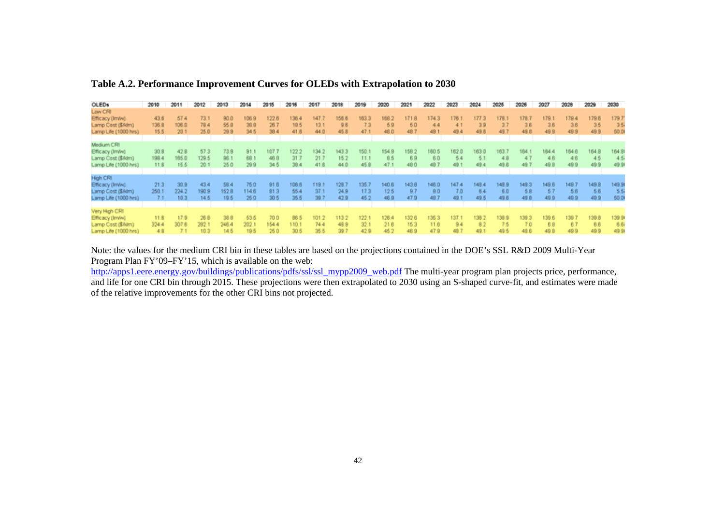| OLED <sub>1</sub>                                                             | 2010                  | 2011                  | 2012                  | 2013                  | 2014                  | 2015                  | 2016                  | 2017                 | 2018                  | 2019                  | 2020                  | 2021                 | 2022                  | 2023                 | 2024                 | 2025                 | 2026                 | 2027                | 2028                | 2029                 | 2030                  |
|-------------------------------------------------------------------------------|-----------------------|-----------------------|-----------------------|-----------------------|-----------------------|-----------------------|-----------------------|----------------------|-----------------------|-----------------------|-----------------------|----------------------|-----------------------|----------------------|----------------------|----------------------|----------------------|---------------------|---------------------|----------------------|-----------------------|
| Low CRI<br>Efficacy (Im/w)<br>Lamp Cost (\$A9m)<br>Lamp Life (1000 hrs)       | 43.6<br>136.9<br>15.5 | 57.4<br>106.0<br>20.1 | 73.1<br>78.4<br>25.0  | 90.0<br>55.8<br>29.9  | 106.9<br>38.9<br>34.5 | 122.6<br>26.7<br>38.4 | 136.4<br>18.5<br>41.6 | 147.<br>13.1<br>44.0 | 158.6<br>9.6<br>45.8  | 163.3<br>73<br>47.1   | 168.2<br>59<br>48.0   | 1718<br>50<br>48     | 1743<br>44<br>49.1    | 176.<br>$-1$<br>49.4 | 177.3<br>39<br>49.6  | 178.1<br>3.7<br>49.7 | 178.7<br>3.6<br>49.8 | 179.1<br>38<br>499  | 79.4<br>36<br>49.9  | 179.6<br>35<br>49.9  | 179.7<br>35<br>50.0   |
| Medium CRI<br>Efficacy (Im/w)<br>Lamp Cost (\$Alm)<br>Lamp Life (1000 hrs)    | 30.8<br>198.4<br>11.6 | 42.8<br>165.0<br>15.5 | 57.3<br>129.5<br>20.1 | 73 9<br>96.1<br>25.0  | 91.1<br>68.1<br>299   | 107.<br>46.8<br>34.5  | 122.2<br>31.3<br>38.4 | 134.2<br>21.1<br>418 | 143.3<br>15.2<br>44.0 | 150.<br>11.1<br>45.8  | 1549<br>85<br>47.     | 158<br>69<br>48.0    | 180.5<br>60<br>48     | 162.0<br>5.4<br>49   | 163.0<br>5.1<br>49.4 | 163.<br>4.8<br>49.6  | 164<br>$-47$<br>49   | 1644<br>48<br>49.8  | 164 B<br>4.6<br>499 | 164.8<br>45<br>49.9  | 1641<br>45<br>49.9    |
| High CRI<br>Efficacy (Im/w)<br>Lamp Cost (\$A9m)<br>Lamp Life (1000 hrs)      | 21.3<br>250.1<br>7.1  | 30.9<br>224.2<br>10.3 | 43.4<br>190.9<br>14.5 | 58.4<br>152.8<br>19.5 | 75.0<br>114.6<br>25.0 | 91.6<br>\$13<br>30.5  | 106.6<br>55.4<br>35.5 | 119<br>37.1<br>39.7  | 1281<br>24.9<br>42.9  | 135.7<br>17.3<br>45.2 | 140.6<br>12.5<br>48.9 | 143.8<br>9.7<br>47.9 | 146.0<br>80<br>48.7   | 147.4<br>70<br>49.1  | 148.4<br>64<br>49.5  | 148.9<br>6.0<br>49.6 | 149.3<br>5B<br>49.8  | 149.6<br>57<br>499  | 149.<br>5.6<br>49.9 | 149.8<br>5.6<br>49.9 | 149.9<br>- 55<br>50.0 |
| Very High CRI<br>Efficacy (Im/w)<br>Lamp Cost (\$A9m)<br>Lamp Life (1000 hrs) | 11.6<br>324.4<br>48   | 179<br>307.6          | 26.91<br>282.1        | 38 B<br>246.4<br>14.5 | 53.5<br>202.1<br>19.5 | ם מל<br>154.4<br>26.0 | 86.5<br>1103<br>30.5  | 101.2<br>744<br>35.5 | 113.2<br>48.9<br>39.7 | 122.1<br>32.1<br>42.9 | 129.4<br>218<br>452   | 132.6<br>153<br>469  | 135.3<br>11.6<br>47.9 | 13T<br>94<br>487     | 138.3<br>82<br>49.1  | 138.9<br>7.5<br>49.5 | 139.3<br>70<br>49.6  | 139.6<br>68<br>49.8 | 139<br>67<br>49.9   | 139.8<br>66<br>49.9  | 139.9<br>6.6<br>49.9  |

### **Table A.2. Performance Improvement Curves for OLEDs with Extrapolation to 2030**

Note: the values for the medium CRI bin in these tables are based on the projections contained in the DOE's SSL R&D 2009 Multi-Year Program Plan FY'09–FY'15, which is available on the web:

http://apps1.eere.energy.gov/buildings/publications/pdfs/ssl/ssl\_mypp2009\_web.pdf The multi-year program plan projects price, performance, and life for one CRI bin through 2015. These projections were then extrapolated to 2030 using an S-shaped curve-fit, and estimates were made of the relative improvements for the other CRI bins not projected.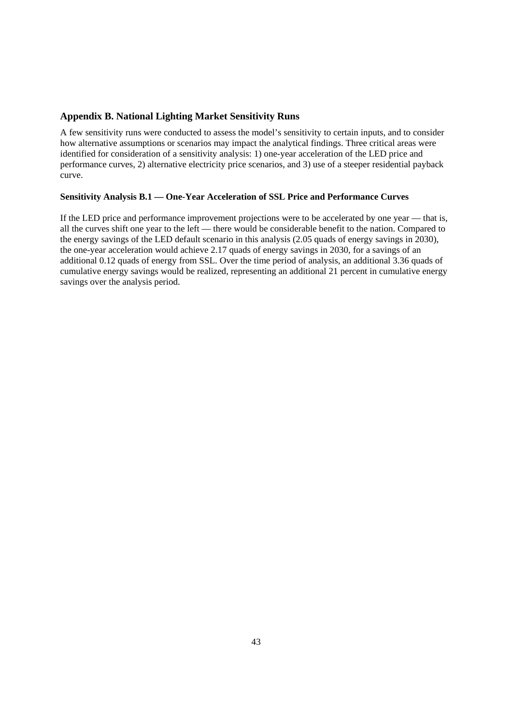# <span id="page-49-0"></span>**Appendix B. National Lighting Market Sensitivity Runs**

 A few sensitivity runs were conducted to assess the model's sensitivity to certain inputs, and to consider how alternative assumptions or scenarios may impact the analytical findings. Three critical areas were identified for consideration of a sensitivity analysis: 1) one-year acceleration of the LED price and performance curves, 2) alternative electricity price scenarios, and 3) use of a steeper residential payback curve.

#### **Sensitivity Analysis B.1 — One-Year Acceleration of SSL Price and Performance Curves**

 If the LED price and performance improvement projections were to be accelerated by one year — that is, cumulative energy savings would be realized, representing an additional 21 percent in cumulative energy all the curves shift one year to the left — there would be considerable benefit to the nation. Compared to the energy savings of the LED default scenario in this analysis (2.05 quads of energy savings in 2030), the one-year acceleration would achieve 2.17 quads of energy savings in 2030, for a savings of an additional 0.12 quads of energy from SSL. Over the time period of analysis, an additional 3.36 quads of savings over the analysis period.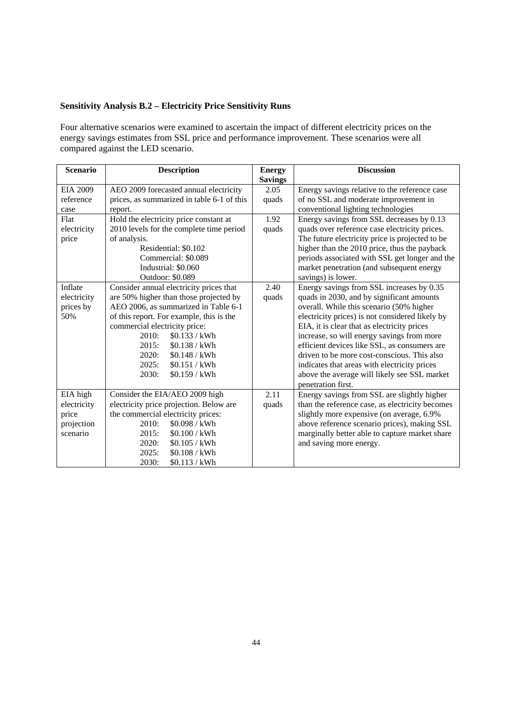# **Sensitivity Analysis B.2 – Electricity Price Sensitivity Runs**

Four alternative scenarios were examined to ascertain the impact of different electricity prices on the energy savings estimates from SSL price and performance improvement. These scenarios were all compared against the LED scenario.

| <b>Scenario</b> | <b>Description</b>                         | <b>Energy</b>  | <b>Discussion</b>                               |
|-----------------|--------------------------------------------|----------------|-------------------------------------------------|
|                 |                                            | <b>Savings</b> |                                                 |
| <b>EIA 2009</b> | AEO 2009 forecasted annual electricity     | 2.05           | Energy savings relative to the reference case   |
| reference       | prices, as summarized in table 6-1 of this | quads          | of no SSL and moderate improvement in           |
| case            | report.                                    |                | conventional lighting technologies              |
| Flat            | Hold the electricity price constant at     | 1.92           | Energy savings from SSL decreases by 0.13       |
| electricity     | 2010 levels for the complete time period   | quads          | quads over reference case electricity prices.   |
| price           | of analysis.                               |                | The future electricity price is projected to be |
|                 | Residential: \$0.102                       |                | higher than the 2010 price, thus the payback    |
|                 | Commercial: \$0.089                        |                | periods associated with SSL get longer and the  |
|                 | Industrial: \$0.060                        |                | market penetration (and subsequent energy       |
|                 | <b>Outdoor: \$0.089</b>                    |                | savings) is lower.                              |
| Inflate         | Consider annual electricity prices that    | 2.40           | Energy savings from SSL increases by 0.35       |
| electricity     | are 50% higher than those projected by     | quads          | quads in 2030, and by significant amounts       |
| prices by       | AEO 2006, as summarized in Table 6-1       |                | overall. While this scenario (50% higher        |
| 50%             | of this report. For example, this is the   |                | electricity prices) is not considered likely by |
|                 | commercial electricity price:              |                | EIA, it is clear that as electricity prices     |
|                 | 2010:<br>\$0.133 / kWh                     |                | increase, so will energy savings from more      |
|                 | 2015:<br>\$0.138 / kWh                     |                | efficient devices like SSL, as consumers are    |
|                 | 2020:<br>\$0.148 / kWh                     |                | driven to be more cost-conscious. This also     |
|                 | 2025:<br>\$0.151 / kWh                     |                | indicates that areas with electricity prices    |
|                 | 2030:<br>\$0.159 / kWh                     |                | above the average will likely see SSL market    |
|                 |                                            |                | penetration first.                              |
| EIA high        | Consider the EIA/AEO 2009 high             | 2.11           | Energy savings from SSL are slightly higher     |
| electricity     | electricity price projection. Below are    | quads          | than the reference case, as electricity becomes |
| price           | the commercial electricity prices:         |                | slightly more expensive (on average, 6.9%       |
| projection      | \$0.098 / kWh<br>2010:                     |                | above reference scenario prices), making SSL    |
| scenario        | 2015:<br>\$0.100 / kWh                     |                | marginally better able to capture market share  |
|                 | 2020:<br>\$0.105 / kWh                     |                | and saving more energy.                         |
|                 | 2025:<br>\$0.108 / kWh                     |                |                                                 |
|                 | 2030:<br>\$0.113 / kWh                     |                |                                                 |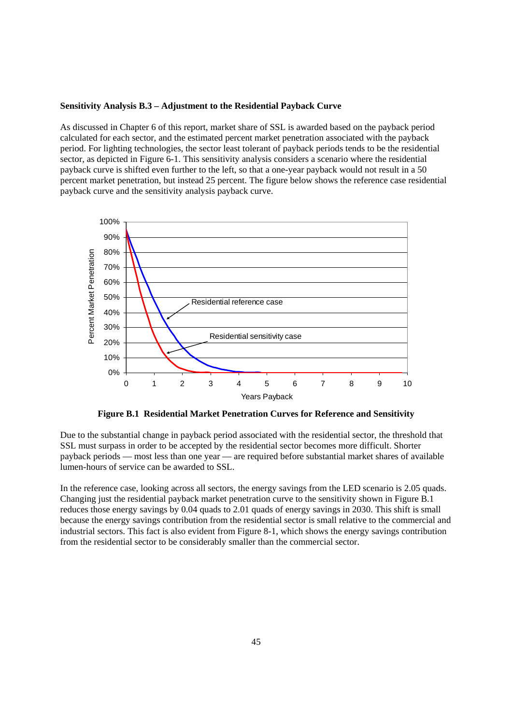#### **Sensitivity Analysis B.3 – Adjustment to the Residential Payback Curve**

 As discussed in Chapter 6 of this report, market share of SSL is awarded based on the payback period calculated for each sector, and the estimated percent market penetration associated with the payback period. For lighting technologies, the sector least tolerant of payback periods tends to be the residential sector, as depicted in Figure 6-1. This sensitivity analysis considers a scenario where the residential payback curve is shifted even further to the left, so that a one-year payback would not result in a 50 percent market penetration, but instead 25 percent. The figure below shows the reference case residential payback curve and the sensitivity analysis payback curve.



 **Figure B.1 Residential Market Penetration Curves for Reference and Sensitivity** 

Due to the substantial change in payback period associated with the residential sector, the threshold that SSL must surpass in order to be accepted by the residential sector becomes more difficult. Shorter payback periods — most less than one year — are required before substantial market shares of available lumen-hours of service can be awarded to SSL.

 reduces those energy savings by 0.04 quads to 2.01 quads of energy savings in 2030. This shift is small In the reference case, looking across all sectors, the energy savings from the LED scenario is 2.05 quads. Changing just the residential payback market penetration curve to the sensitivity shown in Figure B.1 because the energy savings contribution from the residential sector is small relative to the commercial and industrial sectors. This fact is also evident from Figure 8-1, which shows the energy savings contribution from the residential sector to be considerably smaller than the commercial sector.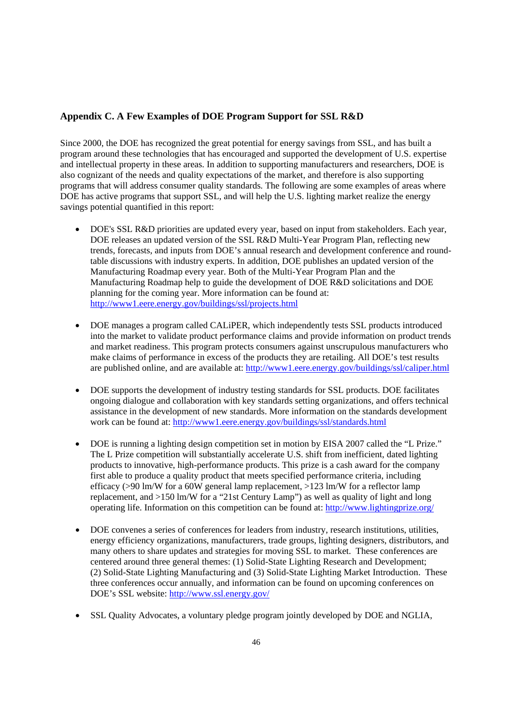## <span id="page-52-0"></span> **Appendix C. A Few Examples of DOE Program Support for SSL R&D**

Since 2000, the DOE has recognized the great potential for energy savings from SSL, and has built a program around these technologies that has encouraged and supported the development of U.S. expertise and intellectual property in these areas. In addition to supporting manufacturers and researchers, DOE is also cognizant of the needs and quality expectations of the market, and therefore is also supporting programs that will address consumer quality standards. The following are some examples of areas where DOE has active programs that support SSL, and will help the U.S. lighting market realize the energy savings potential quantified in this report:

- http://www1.eere.energy.gov/buildings/ssl/projects.html • DOE's SSL R&D priorities are updated every year, based on input from stakeholders. Each year, DOE releases an updated version of the SSL R&D Multi-Year Program Plan, reflecting new trends, forecasts, and inputs from DOE's annual research and development conference and roundtable discussions with industry experts. In addition, DOE publishes an updated version of the Manufacturing Roadmap every year. Both of the Multi-Year Program Plan and the Manufacturing Roadmap help to guide the development of DOE R&D solicitations and DOE planning for the coming year. More information can be found at:
- are published online, and are available at: http://www1.eere.energy.gov/buildings/ssl/caliper.html DOE manages a program called CALIPER, which independently tests SSL products introduced into the market to validate product performance claims and provide information on product trends and market readiness. This program protects consumers against unscrupulous manufacturers who make claims of performance in excess of the products they are retailing. All DOE's test results
- work can be found at: http://www1.eere.energy.gov/buildings/ssl/standards.html DOE supports the development of industry testing standards for SSL products. DOE facilitates ongoing dialogue and collaboration with key standards setting organizations, and offers technical assistance in the development of new standards. More information on the standards development
- operating life. Information on this competition can be found at: http://www.lightingprize.org/ • DOE is running a lighting design competition set in motion by EISA 2007 called the "L Prize." The L Prize competition will substantially accelerate U.S. shift from inefficient, dated lighting products to innovative, high-performance products. This prize is a cash award for the company first able to produce a quality product that meets specified performance criteria, including efficacy ( $>90 \text{ lm/W}$  for a 60W general lamp replacement,  $>123 \text{ lm/W}$  for a reflector lamp replacement, and >150 lm/W for a "21st Century Lamp") as well as quality of light and long
- DOE's SSL website: http://www.ssl.energy.gov/ • DOE convenes a series of conferences for leaders from industry, research institutions, utilities, energy efficiency organizations, manufacturers, trade groups, lighting designers, distributors, and many others to share updates and strategies for moving SSL to market. These conferences are centered around three general themes: (1) Solid-State Lighting Research and Development; (2) Solid-State Lighting Manufacturing and (3) Solid-State Lighting Market Introduction. These three conferences occur annually, and information can be found on upcoming conferences on
- SSL Quality Advocates, a voluntary pledge program jointly developed by DOE and NGLIA,